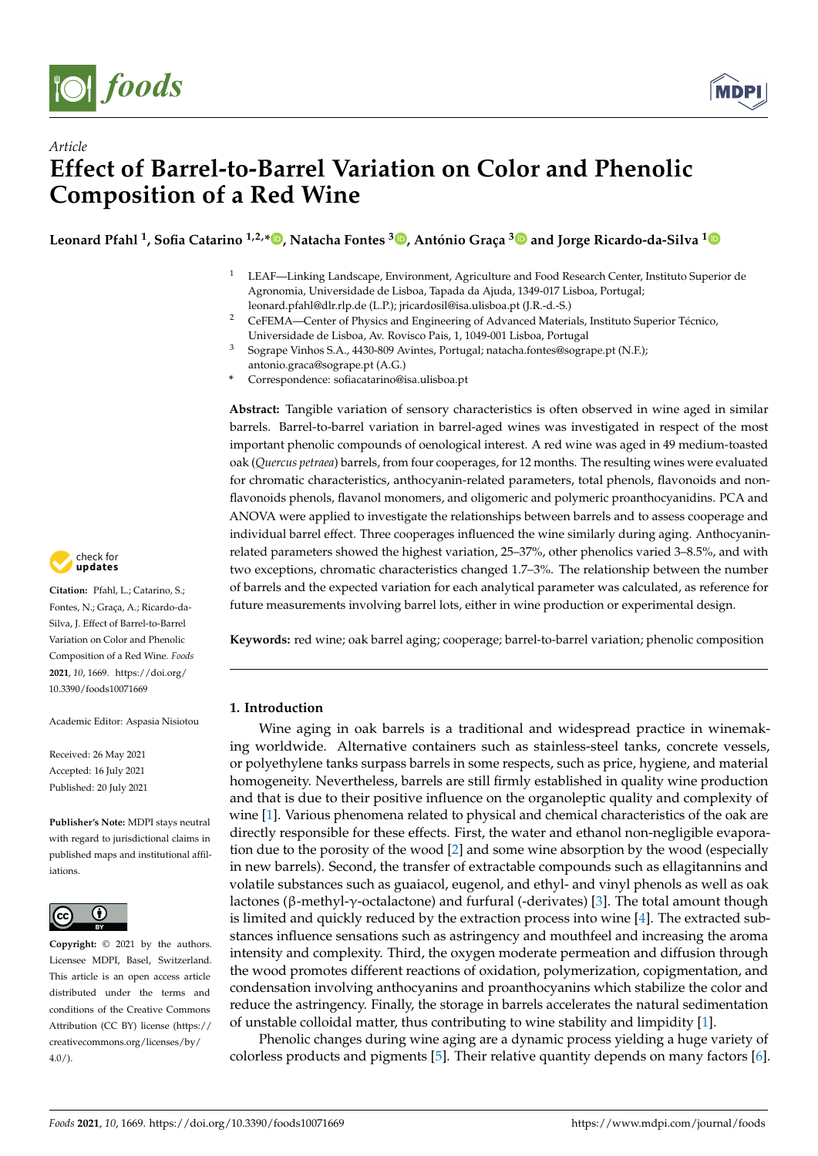

*Article*



# **Effect of Barrel-to-Barrel Variation on Color and Phenolic Composition of a Red Wine**

**Leonard Pfahl <sup>1</sup> , Sofia Catarino 1,2,[\\*](https://orcid.org/0000-0002-6223-4377) , Natacha Fontes <sup>3</sup> [,](https://orcid.org/0000-0003-4058-5800) António Graça [3](https://orcid.org/0000-0003-1083-4386) and Jorge Ricardo-da-Silva [1](https://orcid.org/0000-0003-3706-0982)**

- <sup>1</sup> LEAF—Linking Landscape, Environment, Agriculture and Food Research Center, Instituto Superior de Agronomia, Universidade de Lisboa, Tapada da Ajuda, 1349-017 Lisboa, Portugal; leonard.pfahl@dlr.rlp.de (L.P.); jricardosil@isa.ulisboa.pt (J.R.-d.-S.)
- <sup>2</sup> CeFEMA—Center of Physics and Engineering of Advanced Materials, Instituto Superior Técnico, Universidade de Lisboa, Av. Rovisco Pais, 1, 1049-001 Lisboa, Portugal
- <sup>3</sup> Sogrape Vinhos S.A., 4430-809 Avintes, Portugal; natacha.fontes@sogrape.pt (N.F.); antonio.graca@sogrape.pt (A.G.)
- **\*** Correspondence: sofiacatarino@isa.ulisboa.pt

**Abstract:** Tangible variation of sensory characteristics is often observed in wine aged in similar barrels. Barrel-to-barrel variation in barrel-aged wines was investigated in respect of the most important phenolic compounds of oenological interest. A red wine was aged in 49 medium-toasted oak (*Quercus petraea*) barrels, from four cooperages, for 12 months. The resulting wines were evaluated for chromatic characteristics, anthocyanin-related parameters, total phenols, flavonoids and nonflavonoids phenols, flavanol monomers, and oligomeric and polymeric proanthocyanidins. PCA and ANOVA were applied to investigate the relationships between barrels and to assess cooperage and individual barrel effect. Three cooperages influenced the wine similarly during aging. Anthocyaninrelated parameters showed the highest variation, 25–37%, other phenolics varied 3–8.5%, and with two exceptions, chromatic characteristics changed 1.7–3%. The relationship between the number of barrels and the expected variation for each analytical parameter was calculated, as reference for future measurements involving barrel lots, either in wine production or experimental design.

**Keywords:** red wine; oak barrel aging; cooperage; barrel-to-barrel variation; phenolic composition

# **1. Introduction**

Wine aging in oak barrels is a traditional and widespread practice in winemaking worldwide. Alternative containers such as stainless-steel tanks, concrete vessels, or polyethylene tanks surpass barrels in some respects, such as price, hygiene, and material homogeneity. Nevertheless, barrels are still firmly established in quality wine production and that is due to their positive influence on the organoleptic quality and complexity of wine [\[1\]](#page-13-0). Various phenomena related to physical and chemical characteristics of the oak are directly responsible for these effects. First, the water and ethanol non-negligible evaporation due to the porosity of the wood [\[2\]](#page-13-1) and some wine absorption by the wood (especially in new barrels). Second, the transfer of extractable compounds such as ellagitannins and volatile substances such as guaiacol, eugenol, and ethyl- and vinyl phenols as well as oak lactones (β-methyl-γ-octalactone) and furfural (-derivates) [\[3\]](#page-13-2). The total amount though is limited and quickly reduced by the extraction process into wine [\[4\]](#page-13-3). The extracted substances influence sensations such as astringency and mouthfeel and increasing the aroma intensity and complexity. Third, the oxygen moderate permeation and diffusion through the wood promotes different reactions of oxidation, polymerization, copigmentation, and condensation involving anthocyanins and proanthocyanins which stabilize the color and reduce the astringency. Finally, the storage in barrels accelerates the natural sedimentation of unstable colloidal matter, thus contributing to wine stability and limpidity [\[1\]](#page-13-0).

Phenolic changes during wine aging are a dynamic process yielding a huge variety of colorless products and pigments [\[5\]](#page-13-4). Their relative quantity depends on many factors [\[6\]](#page-13-5).



**Citation:** Pfahl, L.; Catarino, S.; Fontes, N.; Graça, A.; Ricardo-da-Silva, J. Effect of Barrel-to-Barrel Variation on Color and Phenolic Composition of a Red Wine. *Foods* **2021**, *10*, 1669. [https://doi.org/](https://doi.org/10.3390/foods10071669) [10.3390/foods10071669](https://doi.org/10.3390/foods10071669)

Academic Editor: Aspasia Nisiotou

Received: 26 May 2021 Accepted: 16 July 2021 Published: 20 July 2021

**Publisher's Note:** MDPI stays neutral with regard to jurisdictional claims in published maps and institutional affiliations.



**Copyright:** © 2021 by the authors. Licensee MDPI, Basel, Switzerland. This article is an open access article distributed under the terms and conditions of the Creative Commons Attribution (CC BY) license (https:/[/](https://creativecommons.org/licenses/by/4.0/) [creativecommons.org/licenses/by/](https://creativecommons.org/licenses/by/4.0/) 4.0/).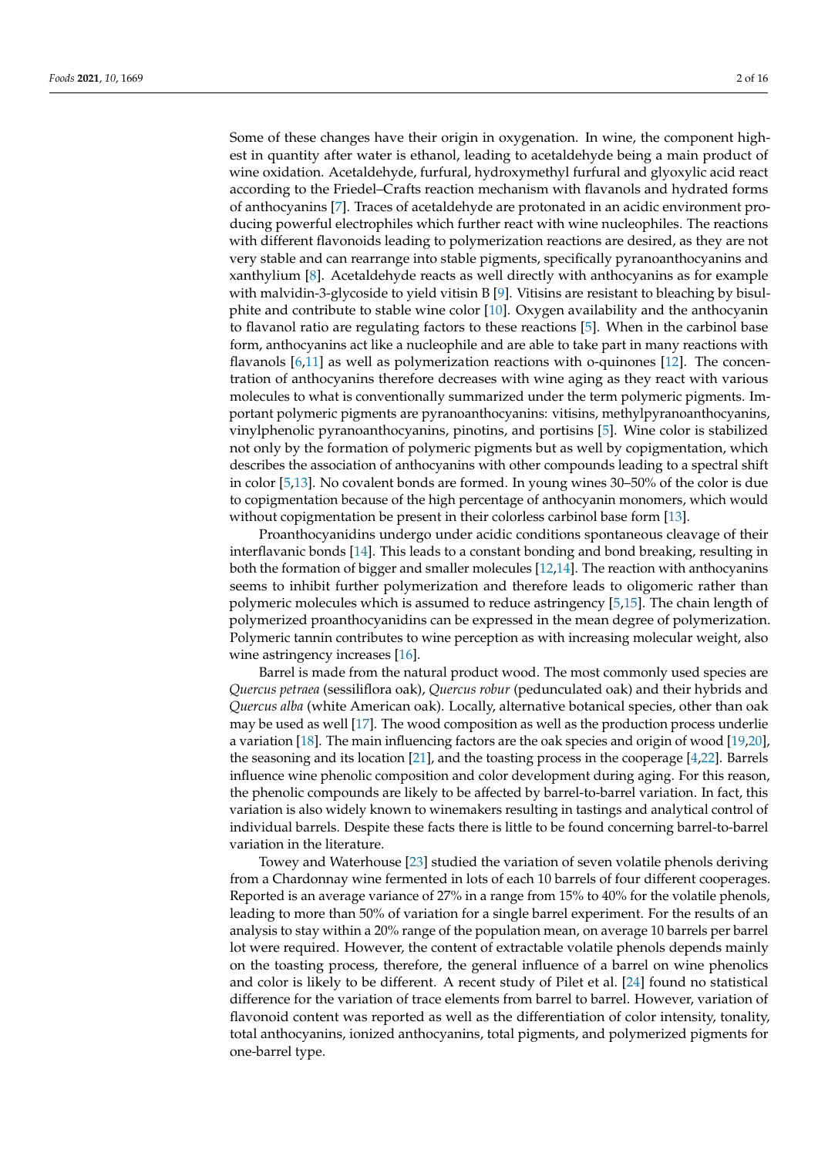Some of these changes have their origin in oxygenation. In wine, the component highest in quantity after water is ethanol, leading to acetaldehyde being a main product of wine oxidation. Acetaldehyde, furfural, hydroxymethyl furfural and glyoxylic acid react according to the Friedel–Crafts reaction mechanism with flavanols and hydrated forms of anthocyanins [\[7\]](#page-13-6). Traces of acetaldehyde are protonated in an acidic environment producing powerful electrophiles which further react with wine nucleophiles. The reactions with different flavonoids leading to polymerization reactions are desired, as they are not very stable and can rearrange into stable pigments, specifically pyranoanthocyanins and xanthylium [\[8\]](#page-13-7). Acetaldehyde reacts as well directly with anthocyanins as for example with malvidin-3-glycoside to yield vitisin B [\[9\]](#page-13-8). Vitisins are resistant to bleaching by bisulphite and contribute to stable wine color [\[10\]](#page-13-9). Oxygen availability and the anthocyanin to flavanol ratio are regulating factors to these reactions [\[5\]](#page-13-4). When in the carbinol base form, anthocyanins act like a nucleophile and are able to take part in many reactions with flavanols [\[6](#page-13-5)[,11\]](#page-14-0) as well as polymerization reactions with o-quinones [\[12\]](#page-14-1). The concentration of anthocyanins therefore decreases with wine aging as they react with various molecules to what is conventionally summarized under the term polymeric pigments. Important polymeric pigments are pyranoanthocyanins: vitisins, methylpyranoanthocyanins, vinylphenolic pyranoanthocyanins, pinotins, and portisins [\[5\]](#page-13-4). Wine color is stabilized not only by the formation of polymeric pigments but as well by copigmentation, which describes the association of anthocyanins with other compounds leading to a spectral shift in color [\[5,](#page-13-4)[13\]](#page-14-2). No covalent bonds are formed. In young wines 30–50% of the color is due to copigmentation because of the high percentage of anthocyanin monomers, which would without copigmentation be present in their colorless carbinol base form [\[13\]](#page-14-2).

Proanthocyanidins undergo under acidic conditions spontaneous cleavage of their interflavanic bonds [\[14\]](#page-14-3). This leads to a constant bonding and bond breaking, resulting in both the formation of bigger and smaller molecules [\[12,](#page-14-1)[14\]](#page-14-3). The reaction with anthocyanins seems to inhibit further polymerization and therefore leads to oligomeric rather than polymeric molecules which is assumed to reduce astringency [\[5,](#page-13-4)[15\]](#page-14-4). The chain length of polymerized proanthocyanidins can be expressed in the mean degree of polymerization. Polymeric tannin contributes to wine perception as with increasing molecular weight, also wine astringency increases [\[16\]](#page-14-5).

Barrel is made from the natural product wood. The most commonly used species are *Quercus petraea* (sessiliflora oak), *Quercus robur* (pedunculated oak) and their hybrids and *Quercus alba* (white American oak). Locally, alternative botanical species, other than oak may be used as well [\[17\]](#page-14-6). The wood composition as well as the production process underlie a variation [\[18\]](#page-14-7). The main influencing factors are the oak species and origin of wood [\[19](#page-14-8)[,20\]](#page-14-9), the seasoning and its location [\[21\]](#page-14-10), and the toasting process in the cooperage [\[4](#page-13-3)[,22\]](#page-14-11). Barrels influence wine phenolic composition and color development during aging. For this reason, the phenolic compounds are likely to be affected by barrel-to-barrel variation. In fact, this variation is also widely known to winemakers resulting in tastings and analytical control of individual barrels. Despite these facts there is little to be found concerning barrel-to-barrel variation in the literature.

Towey and Waterhouse [\[23\]](#page-14-12) studied the variation of seven volatile phenols deriving from a Chardonnay wine fermented in lots of each 10 barrels of four different cooperages. Reported is an average variance of 27% in a range from 15% to 40% for the volatile phenols, leading to more than 50% of variation for a single barrel experiment. For the results of an analysis to stay within a 20% range of the population mean, on average 10 barrels per barrel lot were required. However, the content of extractable volatile phenols depends mainly on the toasting process, therefore, the general influence of a barrel on wine phenolics and color is likely to be different. A recent study of Pilet et al. [\[24\]](#page-14-13) found no statistical difference for the variation of trace elements from barrel to barrel. However, variation of flavonoid content was reported as well as the differentiation of color intensity, tonality, total anthocyanins, ionized anthocyanins, total pigments, and polymerized pigments for one-barrel type.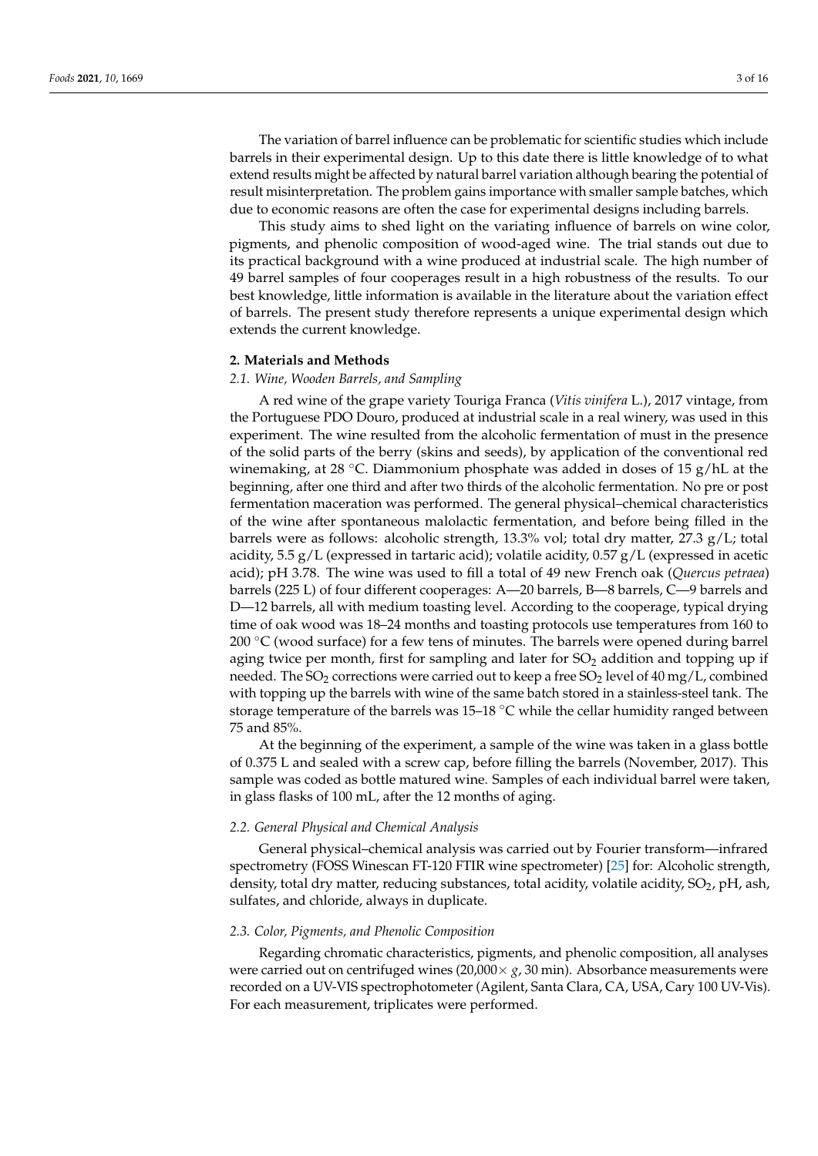The variation of barrel influence can be problematic for scientific studies which include barrels in their experimental design. Up to this date there is little knowledge of to what extend results might be affected by natural barrel variation although bearing the potential of result misinterpretation. The problem gains importance with smaller sample batches, which due to economic reasons are often the case for experimental designs including barrels.

This study aims to shed light on the variating influence of barrels on wine color, pigments, and phenolic composition of wood-aged wine. The trial stands out due to its practical background with a wine produced at industrial scale. The high number of 49 barrel samples of four cooperages result in a high robustness of the results. To our best knowledge, little information is available in the literature about the variation effect of barrels. The present study therefore represents a unique experimental design which extends the current knowledge.

#### **2. Materials and Methods**

## *2.1. Wine, Wooden Barrels, and Sampling*

A red wine of the grape variety Touriga Franca (*Vitis vinifera* L.), 2017 vintage, from the Portuguese PDO Douro, produced at industrial scale in a real winery, was used in this experiment. The wine resulted from the alcoholic fermentation of must in the presence of the solid parts of the berry (skins and seeds), by application of the conventional red winemaking, at 28 °C. Diammonium phosphate was added in doses of 15 g/hL at the beginning, after one third and after two thirds of the alcoholic fermentation. No pre or post fermentation maceration was performed. The general physical–chemical characteristics of the wine after spontaneous malolactic fermentation, and before being filled in the barrels were as follows: alcoholic strength, 13.3% vol; total dry matter, 27.3 g/L; total acidity, 5.5 g/L (expressed in tartaric acid); volatile acidity, 0.57 g/L (expressed in acetic acid); pH 3.78. The wine was used to fill a total of 49 new French oak (*Quercus petraea*) barrels (225 L) of four different cooperages: A—20 barrels, B—8 barrels, C—9 barrels and D—12 barrels, all with medium toasting level. According to the cooperage, typical drying time of oak wood was 18–24 months and toasting protocols use temperatures from 160 to  $200\degree$ C (wood surface) for a few tens of minutes. The barrels were opened during barrel aging twice per month, first for sampling and later for  $SO<sub>2</sub>$  addition and topping up if needed. The SO<sub>2</sub> corrections were carried out to keep a free SO<sub>2</sub> level of 40 mg/L, combined with topping up the barrels with wine of the same batch stored in a stainless-steel tank. The storage temperature of the barrels was 15–18 °C while the cellar humidity ranged between 75 and 85%.

At the beginning of the experiment, a sample of the wine was taken in a glass bottle of 0.375 L and sealed with a screw cap, before filling the barrels (November, 2017). This sample was coded as bottle matured wine. Samples of each individual barrel were taken, in glass flasks of 100 mL, after the 12 months of aging.

#### *2.2. General Physical and Chemical Analysis*

General physical–chemical analysis was carried out by Fourier transform—infrared spectrometry (FOSS Winescan FT-120 FTIR wine spectrometer) [\[25\]](#page-14-14) for: Alcoholic strength, density, total dry matter, reducing substances, total acidity, volatile acidity,  $SO_2$ , pH, ash, sulfates, and chloride, always in duplicate.

#### *2.3. Color, Pigments, and Phenolic Composition*

Regarding chromatic characteristics, pigments, and phenolic composition, all analyses were carried out on centrifuged wines  $(20,000 \times g, 30 \text{ min})$ . Absorbance measurements were recorded on a UV-VIS spectrophotometer (Agilent, Santa Clara, CA, USA, Cary 100 UV-Vis). For each measurement, triplicates were performed.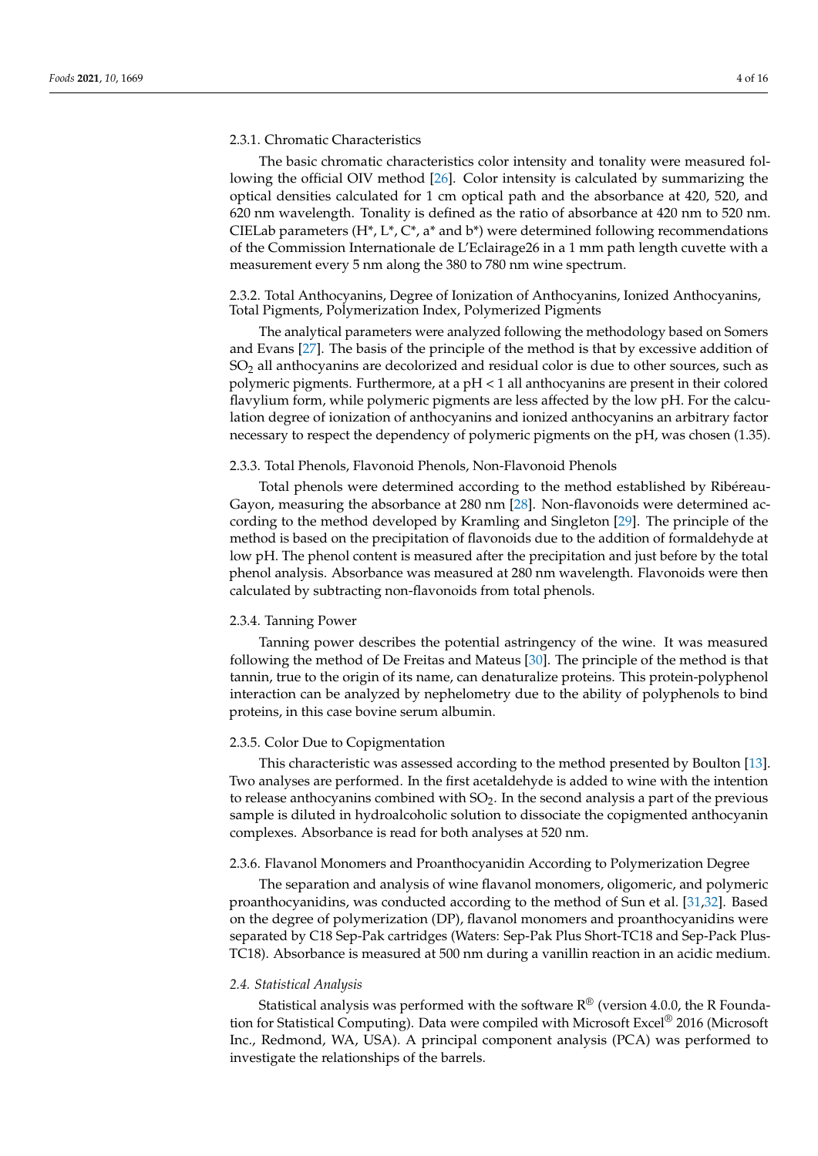## 2.3.1. Chromatic Characteristics

The basic chromatic characteristics color intensity and tonality were measured following the official OIV method [\[26\]](#page-14-15). Color intensity is calculated by summarizing the optical densities calculated for 1 cm optical path and the absorbance at 420, 520, and 620 nm wavelength. Tonality is defined as the ratio of absorbance at 420 nm to 520 nm. CIELab parameters  $(H^*, L^*, C^*, a^*$  and  $b^*)$  were determined following recommendations of the Commission Internationale de L'Eclairage26 in a 1 mm path length cuvette with a measurement every 5 nm along the 380 to 780 nm wine spectrum.

2.3.2. Total Anthocyanins, Degree of Ionization of Anthocyanins, Ionized Anthocyanins, Total Pigments, Polymerization Index, Polymerized Pigments

The analytical parameters were analyzed following the methodology based on Somers and Evans [\[27\]](#page-14-16). The basis of the principle of the method is that by excessive addition of  $SO<sub>2</sub>$  all anthocyanins are decolorized and residual color is due to other sources, such as polymeric pigments. Furthermore, at a  $pH < 1$  all anthocyanins are present in their colored flavylium form, while polymeric pigments are less affected by the low pH. For the calculation degree of ionization of anthocyanins and ionized anthocyanins an arbitrary factor necessary to respect the dependency of polymeric pigments on the pH, was chosen (1.35).

# 2.3.3. Total Phenols, Flavonoid Phenols, Non-Flavonoid Phenols

Total phenols were determined according to the method established by Ribéreau-Gayon, measuring the absorbance at 280 nm [\[28\]](#page-14-17). Non-flavonoids were determined according to the method developed by Kramling and Singleton [\[29\]](#page-14-18). The principle of the method is based on the precipitation of flavonoids due to the addition of formaldehyde at low pH. The phenol content is measured after the precipitation and just before by the total phenol analysis. Absorbance was measured at 280 nm wavelength. Flavonoids were then calculated by subtracting non-flavonoids from total phenols.

# 2.3.4. Tanning Power

Tanning power describes the potential astringency of the wine. It was measured following the method of De Freitas and Mateus [\[30\]](#page-14-19). The principle of the method is that tannin, true to the origin of its name, can denaturalize proteins. This protein-polyphenol interaction can be analyzed by nephelometry due to the ability of polyphenols to bind proteins, in this case bovine serum albumin.

# 2.3.5. Color Due to Copigmentation

This characteristic was assessed according to the method presented by Boulton [\[13\]](#page-14-2). Two analyses are performed. In the first acetaldehyde is added to wine with the intention to release anthocyanins combined with  $SO<sub>2</sub>$ . In the second analysis a part of the previous sample is diluted in hydroalcoholic solution to dissociate the copigmented anthocyanin complexes. Absorbance is read for both analyses at 520 nm.

# 2.3.6. Flavanol Monomers and Proanthocyanidin According to Polymerization Degree

The separation and analysis of wine flavanol monomers, oligomeric, and polymeric proanthocyanidins, was conducted according to the method of Sun et al. [\[31](#page-14-20)[,32\]](#page-14-21). Based on the degree of polymerization (DP), flavanol monomers and proanthocyanidins were separated by C18 Sep-Pak cartridges (Waters: Sep-Pak Plus Short-TC18 and Sep-Pack Plus-TC18). Absorbance is measured at 500 nm during a vanillin reaction in an acidic medium.

#### *2.4. Statistical Analysis*

Statistical analysis was performed with the software  $R^{\circledR}$  (version 4.0.0, the R Foundation for Statistical Computing). Data were compiled with Microsoft Excel® 2016 (Microsoft Inc., Redmond, WA, USA). A principal component analysis (PCA) was performed to investigate the relationships of the barrels.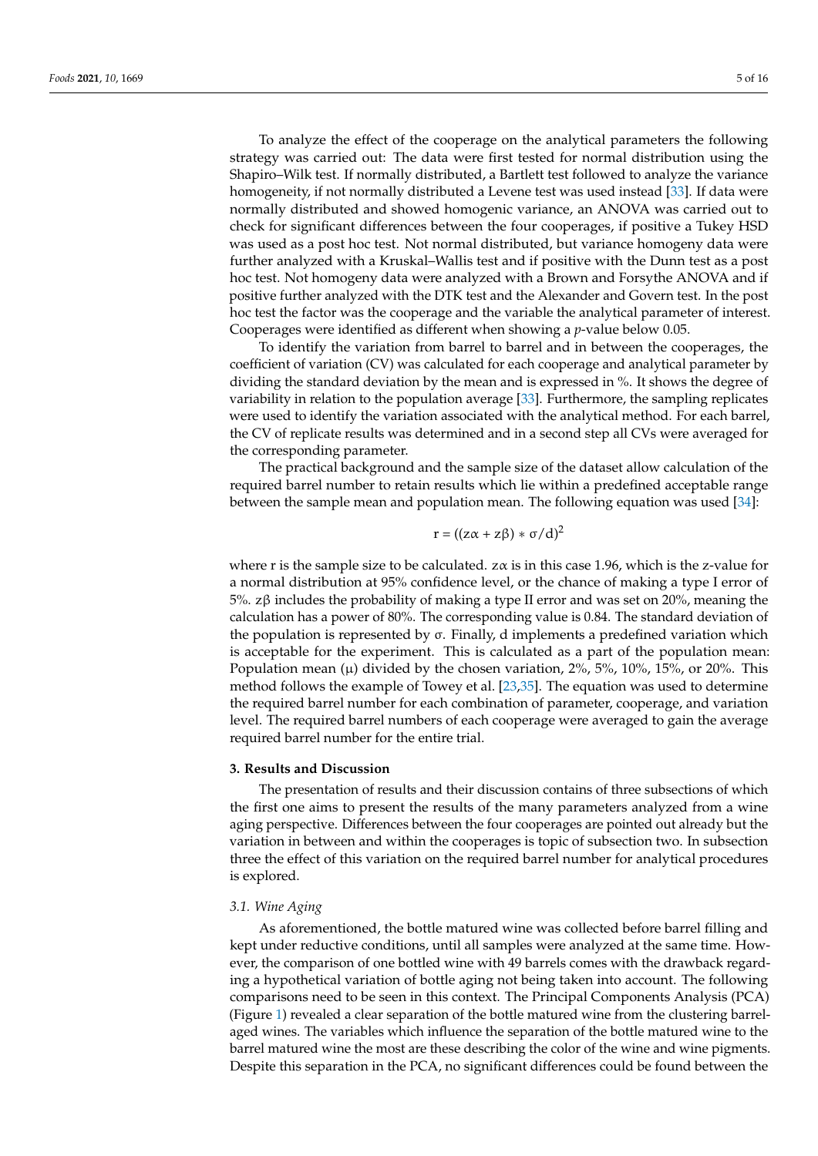To analyze the effect of the cooperage on the analytical parameters the following strategy was carried out: The data were first tested for normal distribution using the Shapiro–Wilk test. If normally distributed, a Bartlett test followed to analyze the variance homogeneity, if not normally distributed a Levene test was used instead [\[33\]](#page-14-22). If data were normally distributed and showed homogenic variance, an ANOVA was carried out to check for significant differences between the four cooperages, if positive a Tukey HSD was used as a post hoc test. Not normal distributed, but variance homogeny data were further analyzed with a Kruskal–Wallis test and if positive with the Dunn test as a post hoc test. Not homogeny data were analyzed with a Brown and Forsythe ANOVA and if positive further analyzed with the DTK test and the Alexander and Govern test. In the post hoc test the factor was the cooperage and the variable the analytical parameter of interest. Cooperages were identified as different when showing a *p*-value below 0.05.

To identify the variation from barrel to barrel and in between the cooperages, the coefficient of variation (CV) was calculated for each cooperage and analytical parameter by dividing the standard deviation by the mean and is expressed in %. It shows the degree of variability in relation to the population average [\[33\]](#page-14-22). Furthermore, the sampling replicates were used to identify the variation associated with the analytical method. For each barrel, the CV of replicate results was determined and in a second step all CVs were averaged for the corresponding parameter.

The practical background and the sample size of the dataset allow calculation of the required barrel number to retain results which lie within a predefined acceptable range between the sample mean and population mean. The following equation was used [\[34\]](#page-14-23):

$$
r = ((z\alpha + z\beta) * \sigma/d)^2
$$

where r is the sample size to be calculated.  $z\alpha$  is in this case 1.96, which is the z-value for a normal distribution at 95% confidence level, or the chance of making a type I error of 5%. zβ includes the probability of making a type II error and was set on 20%, meaning the calculation has a power of 80%. The corresponding value is 0.84. The standard deviation of the population is represented by  $σ$ . Finally, d implements a predefined variation which is acceptable for the experiment. This is calculated as a part of the population mean: Population mean  $(\mu)$  divided by the chosen variation, 2%, 5%, 10%, 15%, or 20%. This method follows the example of Towey et al. [\[23](#page-14-12)[,35\]](#page-14-24). The equation was used to determine the required barrel number for each combination of parameter, cooperage, and variation level. The required barrel numbers of each cooperage were averaged to gain the average required barrel number for the entire trial.

#### **3. Results and Discussion**

The presentation of results and their discussion contains of three subsections of which the first one aims to present the results of the many parameters analyzed from a wine aging perspective. Differences between the four cooperages are pointed out already but the variation in between and within the cooperages is topic of subsection two. In subsection three the effect of this variation on the required barrel number for analytical procedures is explored.

# *3.1. Wine Aging*

As aforementioned, the bottle matured wine was collected before barrel filling and kept under reductive conditions, until all samples were analyzed at the same time. However, the comparison of one bottled wine with 49 barrels comes with the drawback regarding a hypothetical variation of bottle aging not being taken into account. The following comparisons need to be seen in this context. The Principal Components Analysis (PCA) (Figure [1\)](#page-5-0) revealed a clear separation of the bottle matured wine from the clustering barrelaged wines. The variables which influence the separation of the bottle matured wine to the barrel matured wine the most are these describing the color of the wine and wine pigments. Despite this separation in the PCA, no significant differences could be found between the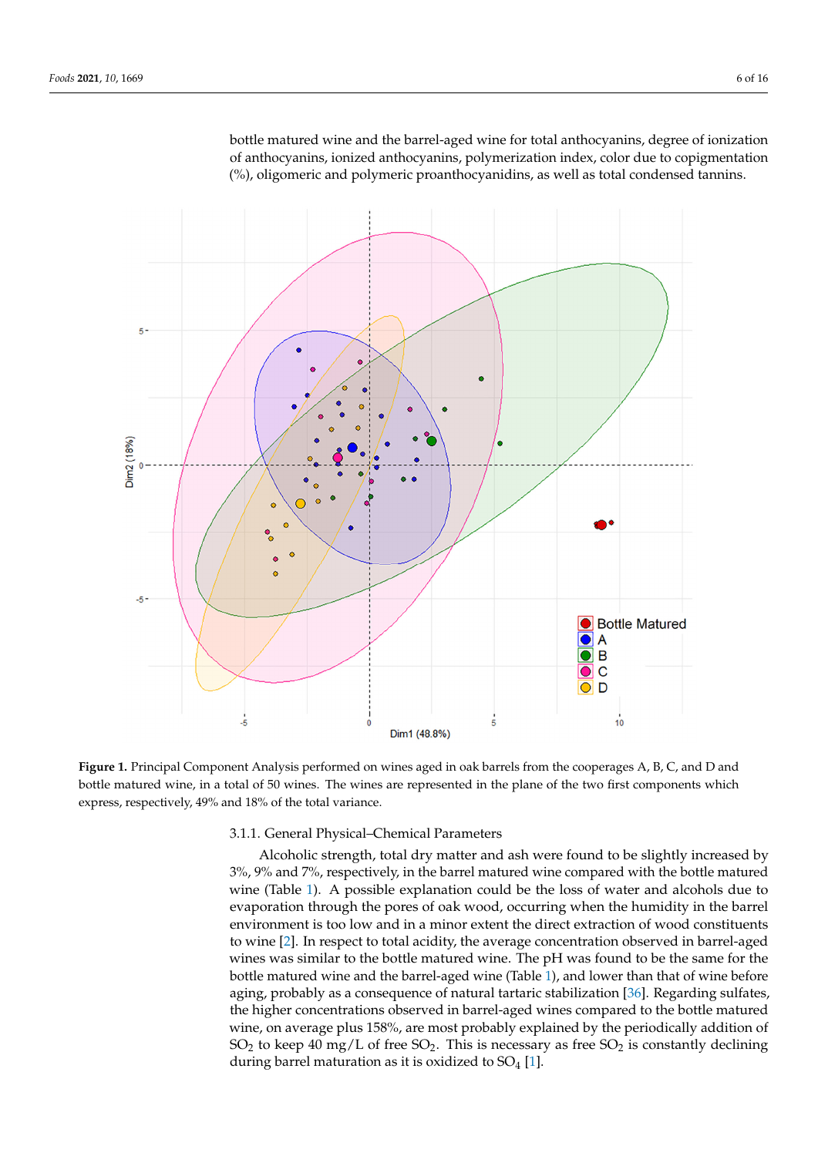bottle matured wine and the barrel-aged wine for total anthocyanins, degree of ionization of anthocyanins, ionized anthocyanins, polymerization index, color due to copigmentation (%), oligomeric and polymeric proanthocyanidins, as well as total condensed tannins. total condensed tannins.

<span id="page-5-0"></span>

Figure 1. Principal Component Analysis performed on wines aged in oak barrels from the cooperages A, B, C, and D and bottle matured wine, in a total of 50 wines. The wines are represented in the plane of the two first components which  $\frac{1}{2}$  express, respectively, 49% and 18% of the total variance. ance.

# 3.1.1. General Physical–Chemical Parameters

Alcoholic strength, total dry matter and ash were found to be slightly increased by 3%, 9% and 7%, respectively, in the barrel matured wine compared with the bottle matured wine (Table 1). A possible explanation could be the loss of water and alcohols due to evaporation through the pores of oak wood, occurring when the humidity in the barrel environment is too low and in a minor extent the direct extraction of wood constituents to wine [\[2\]](#page-13-1). In respect to total acidity, the average concentration observed in barrel-aged wines was similar to the bottle matured wine. The pH was found to be the same for the bottle matured wine and the barrel-aged wine (Table [1\)](#page-6-0), and lower than that of wine before aging, probably as a consequence of natural tartaric stabilization [\[36\]](#page-14-25). Regarding sulfates, the higher concentrations observed in barrel-aged wines compared to the bottle matured wine, on average plus 158%, are most probably explained by the periodically addition of  $SO_2$  to keep 40 mg/L of free  $SO_2$ . This is necessary as free  $SO_2$  is constantly declining during barrel maturation as it is oxidized to  $SO_4$  [\[1\]](#page-13-0).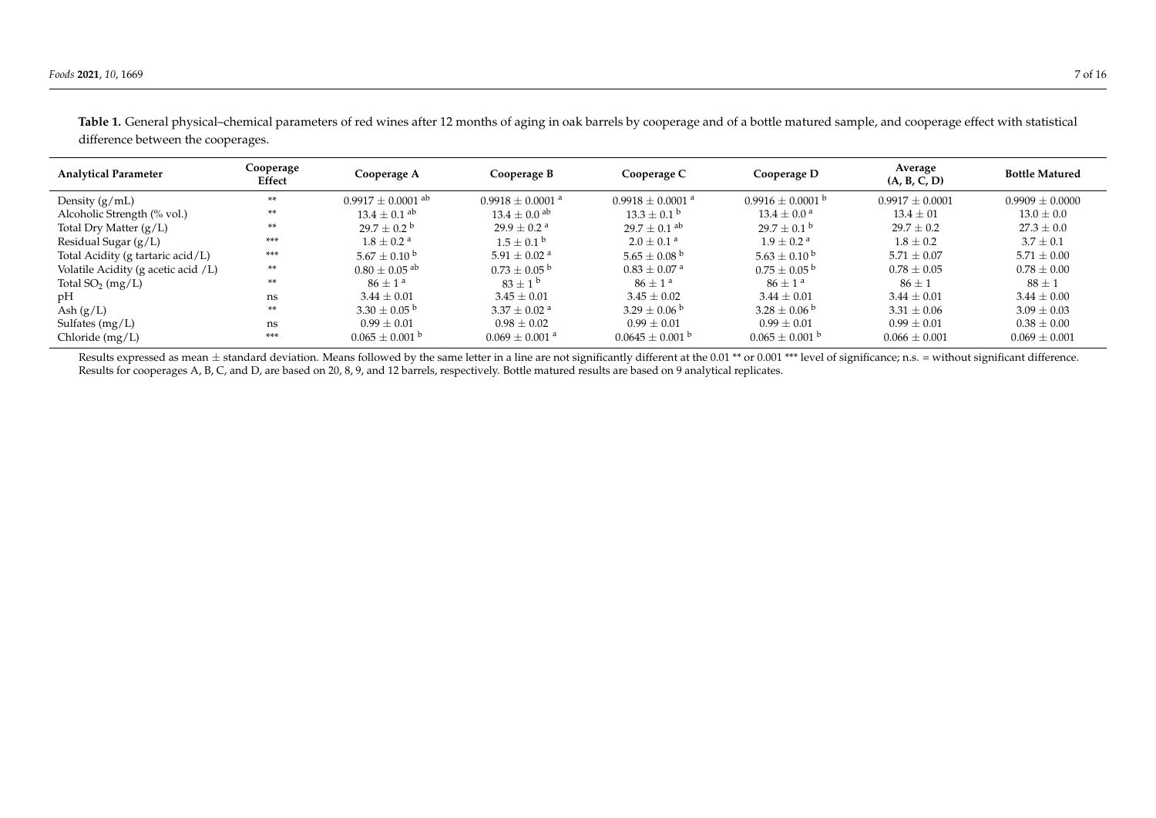| <b>Analytical Parameter</b>         | Cooperage<br>Effect | Cooperage A                       | Cooperage B                    | Cooperage C                    | Cooperage D                 | Average<br>(A, B, C, D) | <b>Bottle Matured</b> |  |  |
|-------------------------------------|---------------------|-----------------------------------|--------------------------------|--------------------------------|-----------------------------|-------------------------|-----------------------|--|--|
| Density $(g/mL)$                    | **                  | $0.9917 \pm 0.0001$ <sup>ab</sup> | $0.9918 + 0.0001$ <sup>a</sup> | $0.9918 + 0.0001$ <sup>a</sup> | $0.9916 \pm 0.0001$ b       | $0.9917 + 0.0001$       | $0.9909 + 0.0000$     |  |  |
| Alcoholic Strength (% vol.)         | **                  | $13.4 \pm 0.1$ <sup>ab</sup>      | $13.4 \pm 0.0$ ab              | $13.3 \pm 0.1^{\circ}$         | $13.4 \pm 0.0^{\circ}$      | $13.4 \pm 01$           | $13.0 \pm 0.0$        |  |  |
| Total Dry Matter $(g/L)$            | **                  | $29.7 \pm 0.2^{\mathrm{b}}$       | $29.9 \pm 0.2$ <sup>a</sup>    | $29.7 \pm 0.1$ ab              | $29.7 \pm 0.1^{\mathrm{b}}$ | $29.7 \pm 0.2$          | $27.3 \pm 0.0$        |  |  |
| Residual Sugar $(g/L)$              | ***                 | $1.8 + 0.2$ <sup>a</sup>          | $1.5 \pm 0.1^{\circ}$          | $2.0 \pm 0.1$ <sup>a</sup>     | $1.9 + 0.2$ <sup>a</sup>    | $1.8 \pm 0.2$           | $3.7 \pm 0.1$         |  |  |
| Total Acidity (g tartaric acid/L)   | ***                 | $5.67 + 0.10^{b}$                 | 5.91 $\pm$ 0.02 <sup>a</sup>   | $5.65 \pm 0.08^{\circ}$        | $5.63 \pm 0.10^{\circ}$     | $5.71 \pm 0.07$         | $5.71 \pm 0.00$       |  |  |
| Volatile Acidity (g acetic acid /L) | **                  | $0.80 \pm 0.05$ <sup>ab</sup>     | $0.73 \pm 0.05^{\circ}$        | $0.83 \pm 0.07$ <sup>a</sup>   | $0.75 \pm 0.05^{\text{ b}}$ | $0.78 \pm 0.05$         | $0.78 \pm 0.00$       |  |  |
| Total $SO_2$ (mg/L)                 | **                  | $86 + 1^a$                        | $83 + 1^{b}$                   | $86 + 1^a$                     | $86 + 1^a$                  | $86 \pm 1$              | $88 \pm 1$            |  |  |
| pH                                  | ns                  | $3.44 \pm 0.01$                   | $3.45 + 0.01$                  | $3.45 \pm 0.02$                | $3.44 \pm 0.01$             | $3.44 \pm 0.01$         | $3.44 \pm 0.00$       |  |  |
| Ash $(g/L)$                         | **                  | $3.30 \pm 0.05^{\circ}$           | $3.37 + 0.02$ <sup>a</sup>     | $3.29 \pm 0.06^{\circ}$        | $3.28 \pm 0.06^{\circ}$     | $3.31 \pm 0.06$         | $3.09 \pm 0.03$       |  |  |
| Sulfates $(mg/L)$                   | ns                  | $0.99 \pm 0.01$                   | $0.98 \pm 0.02$                | $0.99 \pm 0.01$                | $0.99 \pm 0.01$             | $0.99 \pm 0.01$         | $0.38 \pm 0.00$       |  |  |
| Chloride $(mg/L)$                   | ***                 | $0.065 \pm 0.001$ b               | $0.069 \pm 0.001$ <sup>a</sup> | $0.0645 \pm 0.001$ b           | $0.065 \pm 0.001$ b         | $0.066 \pm 0.001$       | $0.069 \pm 0.001$     |  |  |

Table 1. General physical–chemical parameters of red wines after 12 months of aging in oak barrels by cooperage and of a bottle matured sample, and cooperage effect with statistical difference between the cooperages.

<span id="page-6-0"></span>Results expressed as mean  $\pm$  standard deviation. Means followed by the same letter in a line are not significantly different at the 0.01 \*\* or 0.001 \*\*\* level of significance; n.s. = without significant difference. Results for cooperages A, B, C, and D, are based on 20, 8, 9, and 12 barrels, respectively. Bottle matured results are based on 9 analytical replicates.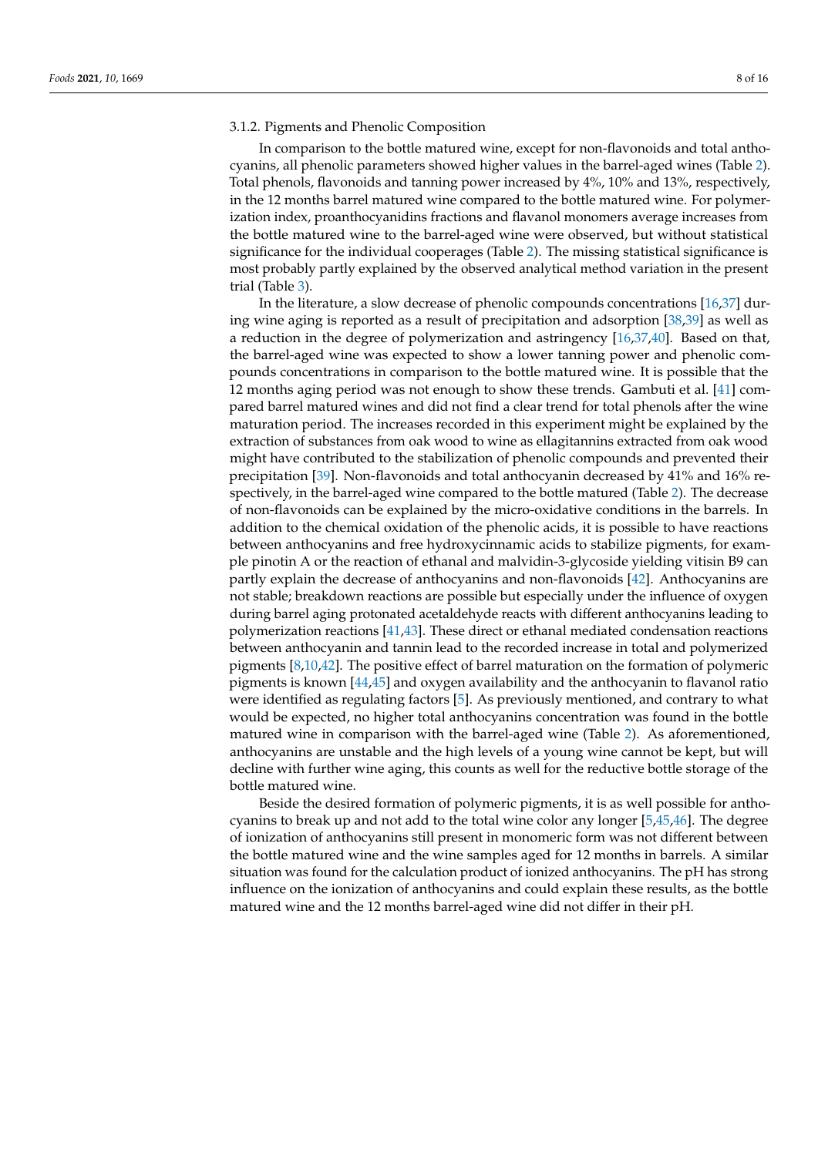# 3.1.2. Pigments and Phenolic Composition

In comparison to the bottle matured wine, except for non-flavonoids and total anthocyanins, all phenolic parameters showed higher values in the barrel-aged wines (Table [2\)](#page-8-0). Total phenols, flavonoids and tanning power increased by 4%, 10% and 13%, respectively, in the 12 months barrel matured wine compared to the bottle matured wine. For polymerization index, proanthocyanidins fractions and flavanol monomers average increases from the bottle matured wine to the barrel-aged wine were observed, but without statistical significance for the individual cooperages (Table [2\)](#page-8-0). The missing statistical significance is most probably partly explained by the observed analytical method variation in the present trial (Table [3\)](#page-9-0).

In the literature, a slow decrease of phenolic compounds concentrations [\[16,](#page-14-5)[37\]](#page-14-26) during wine aging is reported as a result of precipitation and adsorption [\[38,](#page-14-27)[39\]](#page-14-28) as well as a reduction in the degree of polymerization and astringency [\[16,](#page-14-5)[37,](#page-14-26)[40\]](#page-14-29). Based on that, the barrel-aged wine was expected to show a lower tanning power and phenolic compounds concentrations in comparison to the bottle matured wine. It is possible that the 12 months aging period was not enough to show these trends. Gambuti et al. [\[41\]](#page-15-0) compared barrel matured wines and did not find a clear trend for total phenols after the wine maturation period. The increases recorded in this experiment might be explained by the extraction of substances from oak wood to wine as ellagitannins extracted from oak wood might have contributed to the stabilization of phenolic compounds and prevented their precipitation [\[39\]](#page-14-28). Non-flavonoids and total anthocyanin decreased by 41% and 16% respectively, in the barrel-aged wine compared to the bottle matured (Table [2\)](#page-8-0). The decrease of non-flavonoids can be explained by the micro-oxidative conditions in the barrels. In addition to the chemical oxidation of the phenolic acids, it is possible to have reactions between anthocyanins and free hydroxycinnamic acids to stabilize pigments, for example pinotin A or the reaction of ethanal and malvidin-3-glycoside yielding vitisin B9 can partly explain the decrease of anthocyanins and non-flavonoids [\[42\]](#page-15-1). Anthocyanins are not stable; breakdown reactions are possible but especially under the influence of oxygen during barrel aging protonated acetaldehyde reacts with different anthocyanins leading to polymerization reactions [\[41,](#page-15-0)[43\]](#page-15-2). These direct or ethanal mediated condensation reactions between anthocyanin and tannin lead to the recorded increase in total and polymerized pigments [\[8](#page-13-7)[,10](#page-13-9)[,42\]](#page-15-1). The positive effect of barrel maturation on the formation of polymeric pigments is known [\[44](#page-15-3)[,45\]](#page-15-4) and oxygen availability and the anthocyanin to flavanol ratio were identified as regulating factors [\[5\]](#page-13-4). As previously mentioned, and contrary to what would be expected, no higher total anthocyanins concentration was found in the bottle matured wine in comparison with the barrel-aged wine (Table [2\)](#page-8-0). As aforementioned, anthocyanins are unstable and the high levels of a young wine cannot be kept, but will decline with further wine aging, this counts as well for the reductive bottle storage of the bottle matured wine.

Beside the desired formation of polymeric pigments, it is as well possible for anthocyanins to break up and not add to the total wine color any longer [\[5,](#page-13-4)[45,](#page-15-4)[46\]](#page-15-5). The degree of ionization of anthocyanins still present in monomeric form was not different between the bottle matured wine and the wine samples aged for 12 months in barrels. A similar situation was found for the calculation product of ionized anthocyanins. The pH has strong influence on the ionization of anthocyanins and could explain these results, as the bottle matured wine and the 12 months barrel-aged wine did not differ in their pH.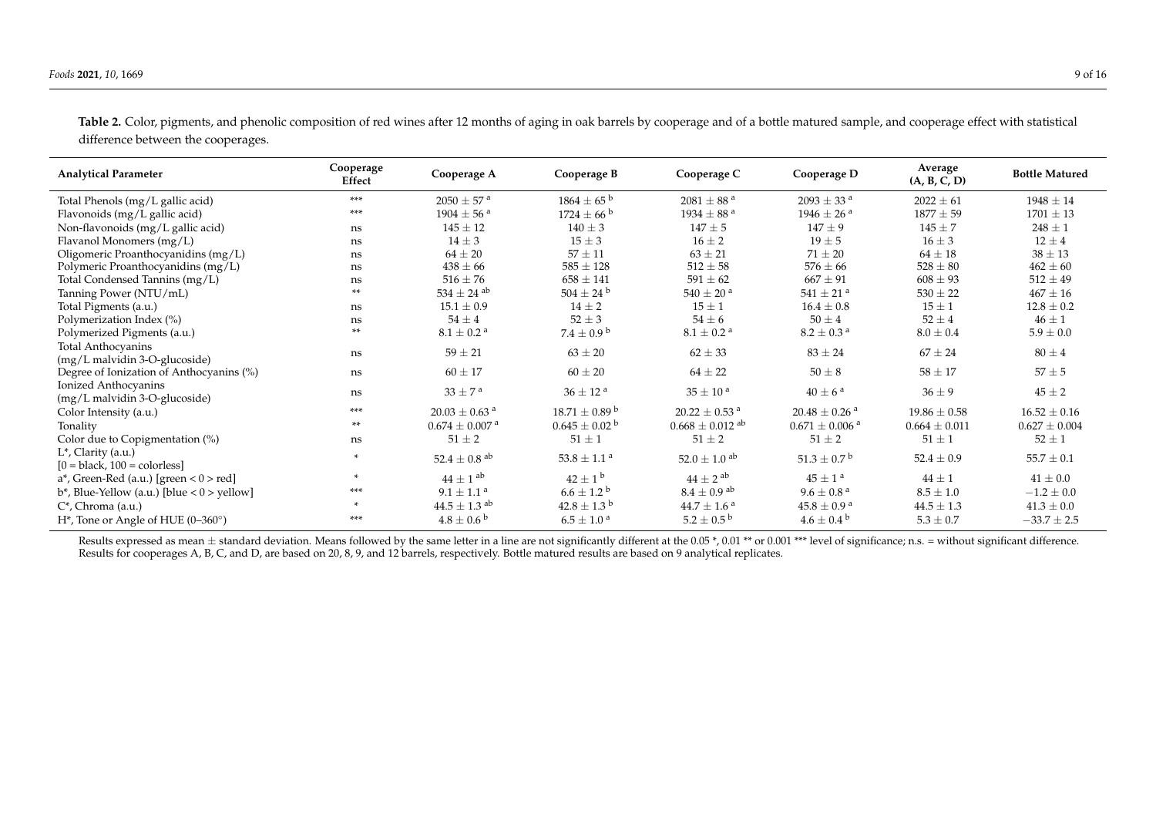| <b>Analytical Parameter</b>                                      | Cooperage<br>Effect | Cooperage A                    | Cooperage B                  | Cooperage C                     | Cooperage D                    | Average<br>(A, B, C, D) | <b>Bottle Matured</b> |
|------------------------------------------------------------------|---------------------|--------------------------------|------------------------------|---------------------------------|--------------------------------|-------------------------|-----------------------|
| Total Phenols (mg/L gallic acid)                                 | ***                 | $2050 \pm 57$ <sup>a</sup>     | $1864 \pm 65^{\circ}$        | $2081 \pm 88^{\text{ a}}$       | $2093 \pm 33$ <sup>a</sup>     | $2022 \pm 61$           | $1948 \pm 14$         |
| Flavonoids (mg/L gallic acid)                                    | ***                 | $1904 \pm 56$ <sup>a</sup>     | $1724 \pm 66^{\circ}$        | $1934 \pm 88$ <sup>a</sup>      | $1946 \pm 26$ <sup>a</sup>     | $1877 \pm 59$           | $1701 \pm 13$         |
| Non-flavonoids (mg/L gallic acid)                                | ns                  | $145 \pm 12$                   | $140 \pm 3$                  | $147 \pm 5$                     | $147 \pm 9$                    | $145 \pm 7$             | $248 \pm 1$           |
| Flavanol Monomers (mg/L)                                         | ns                  | $14 \pm 3$                     | $15 \pm 3$                   | $16 \pm 2$                      | $19 \pm 5$                     | $16 \pm 3$              | $12 \pm 4$            |
| Oligomeric Proanthocyanidins (mg/L)                              | ns                  | $64 \pm 20$                    | $57 \pm 11$                  | $63 \pm 21$                     | $71 \pm 20$                    | $64 \pm 18$             | $38 \pm 13$           |
| Polymeric Proanthocyanidins (mg/L)                               | ns                  | $438 \pm 66$                   | $585 \pm 128$                | $512 \pm 58$                    | $576 \pm 66$                   | $528 \pm 80$            | $462 \pm 60$          |
| Total Condensed Tannins (mg/L)                                   | ns                  | $516 \pm 76$                   | $658 \pm 141$                | $591 \pm 62$                    | $667 \pm 91$                   | $608 \pm 93$            | $512 \pm 49$          |
| Tanning Power (NTU/mL)                                           | **                  | $534 \pm 24$ ab                | $504 \pm 24$ <sup>b</sup>    | $540 \pm 20^{\text{ a}}$        | 541 $\pm$ 21 <sup>a</sup>      | $530 \pm 22$            | $467 \pm 16$          |
| Total Pigments (a.u.)                                            | ns                  | $15.1 \pm 0.9$                 | $14 \pm 2$                   | $15 \pm 1$                      | $16.4 \pm 0.8$                 | $15 \pm 1$              | $12.8 \pm 0.2$        |
| Polymerization Index (%)                                         | ns                  | $54 \pm 4$                     | $52 \pm 3$                   | $54 \pm 6$                      | $50 \pm 4$                     | $52 \pm 4$              | $46 \pm 1$            |
| Polymerized Pigments (a.u.)                                      | **                  | $8.1 \pm 0.2$ <sup>a</sup>     | $7.4 \pm 0.9^{\mathrm{b}}$   | $8.1 \pm 0.2$ <sup>a</sup>      | $8.2 \pm 0.3$ <sup>a</sup>     | $8.0 \pm 0.4$           | $5.9 \pm 0.0$         |
| Total Anthocyanins<br>(mg/L malvidin 3-O-glucoside)              | ns                  | $59 \pm 21$                    | $63 \pm 20$                  | $62 \pm 33$                     | $83 \pm 24$                    | $67 \pm 24$             | $80 \pm 4$            |
| Degree of Ionization of Anthocyanins (%)                         | ns                  | $60 \pm 17$                    | $60 \pm 20$                  | $64 \pm 22$                     | $50 \pm 8$                     | $58 \pm 17$             | $57 \pm 5$            |
| Ionized Anthocyanins<br>$(mg/L \text{ malvidin } 3-O-glucoside)$ | ns                  | $33 \pm 7^{\text{ a}}$         | $36 \pm 12$ <sup>a</sup>     | $35\pm10$ a                     | $40 \pm 6^{\text{ a}}$         | $36 \pm 9$              | $45 \pm 2$            |
| Color Intensity (a.u.)                                           | ***                 | $20.03 \pm 0.63$ <sup>a</sup>  | $18.71 \pm 0.89^{\text{ b}}$ | $20.22 \pm 0.53$ <sup>a</sup>   | $20.48 \pm 0.26$ <sup>a</sup>  | $19.86 \pm 0.58$        | $16.52 \pm 0.16$      |
| Tonality                                                         | **                  | $0.674 \pm 0.007$ <sup>a</sup> | $0.645\pm0.02$ b             | $0.668 \pm 0.012$ <sup>ab</sup> | $0.671 \pm 0.006$ <sup>a</sup> | $0.664 \pm 0.011$       | $0.627 \pm 0.004$     |
| Color due to Copigmentation (%)                                  | ns                  | $51 \pm 2$                     | $51 \pm 1$                   | $51 \pm 2$                      | $51 \pm 2$                     | $51 \pm 1$              | $52 \pm 1$            |
| L*, Clarity (a.u.)<br>$[0 = black, 100 = colorless]$             | $\mathbf{r}$        | $52.4 \pm 0.8$ <sup>ab</sup>   | $53.8 \pm 1.1$ <sup>a</sup>  | $52.0 \pm 1.0$ <sup>ab</sup>    | $51.3 \pm 0.7^{\mathrm{b}}$    | $52.4 \pm 0.9$          | $55.7 \pm 0.1$        |
| $a^*$ , Green-Red (a.u.) [green < $0$ > red]                     | $\mathbf{r}$        | $44 \pm 1$ <sup>ab</sup>       | $42 \pm 1^{\rm b}$           | $44 \pm 2$ <sup>ab</sup>        | $45 \pm 1^{\text{a}}$          | $44 \pm 1$              | $41 \pm 0.0$          |
| $b^*$ , Blue-Yellow (a.u.) [blue < $0$ > yellow]                 | ***                 | $9.1\pm1.1$ a                  | $6.6 \pm 1.2^{\circ}$        | $8.4 \pm 0.9$ <sup>ab</sup>     | $9.6 \pm 0.8$ <sup>a</sup>     | $8.5 \pm 1.0$           | $-1.2\pm0.0$          |
| $C^*$ , Chroma (a.u.)                                            | $\mathbf{x}$        | $44.5 \pm 1.3$ <sup>ab</sup>   | $42.8 \pm 1.3^{\mathrm{b}}$  | $44.7 \pm 1.6^{\text{ a}}$      | $45.8 \pm 0.9^{\text{ a}}$     | $44.5 \pm 1.3$          | $41.3 \pm 0.0$        |
| H <sup>*</sup> , Tone or Angle of HUE (0-360°)                   | ***                 | $4.8 \pm 0.6^{\text{ b}}$      | $6.5 \pm 1.0^{\text{ a}}$    | $5.2 \pm 0.5^{\mathrm{b}}$      | $4.6 \pm 0.4^{\circ}$          | $5.3 \pm 0.7$           | $-33.7\pm2.5$         |

Table 2. Color, pigments, and phenolic composition of red wines after 12 months of aging in oak barrels by cooperage and of a bottle matured sample, and cooperage effect with statistical difference between the cooperages.

<span id="page-8-0"></span>Results expressed as mean  $\pm$  standard deviation. Means followed by the same letter in a line are not significantly different at the 0.05 \*, 0.01 \*\* or 0.001 \*\*\* level of significance; n.s. = without significant differen Results for cooperages A, B, C, and D, are based on 20, 8, 9, and 12 barrels, respectively. Bottle matured results are based on 9 analytical replicates.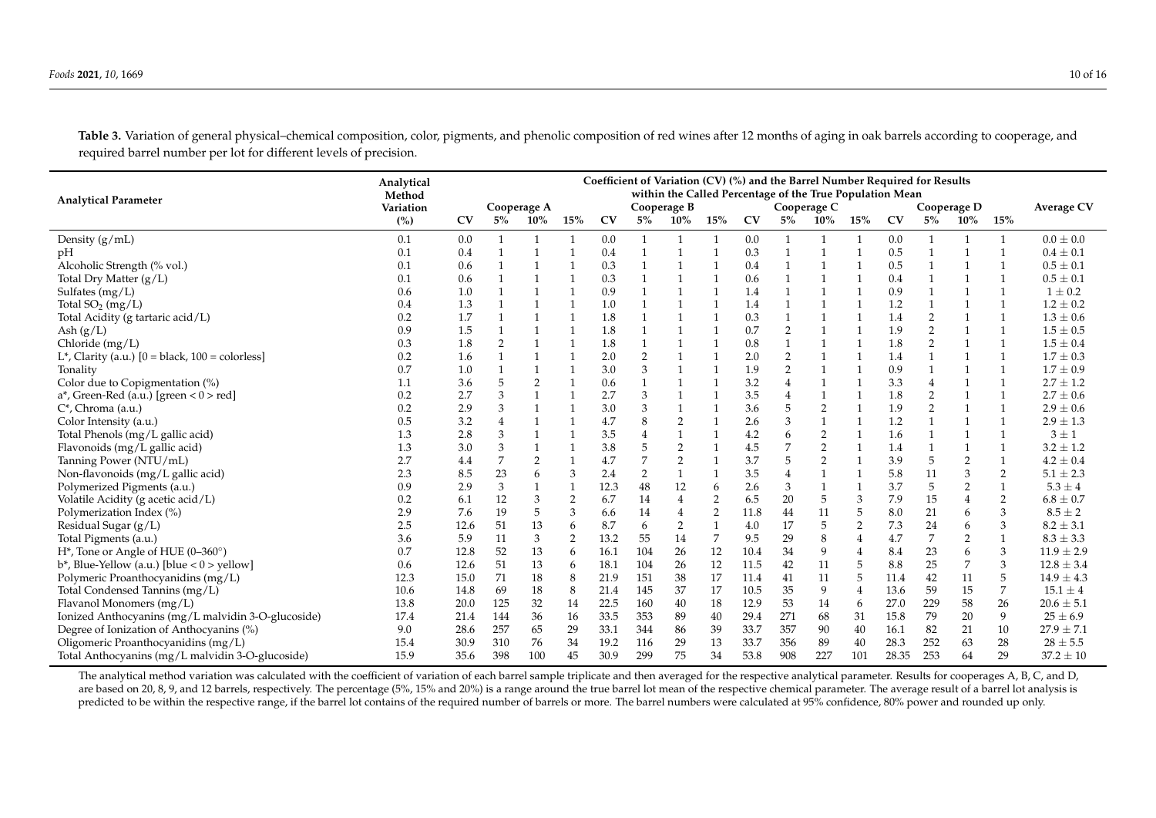Table 3. Variation of general physical–chemical composition, color, pigments, and phenolic composition of red wines after 12 months of aging in oak barrels according to cooperage, and required barrel number per lot for different levels of precision.

| <b>Analytical Parameter</b>                                    | Analytical<br>Method | Coefficient of Variation (CV) (%) and the Barrel Number Required for Results<br>within the Called Percentage of the True Population Mean |                |                |                |           |                                           |                |                |      |                |                |                |           |                  |                |                   |                |
|----------------------------------------------------------------|----------------------|------------------------------------------------------------------------------------------------------------------------------------------|----------------|----------------|----------------|-----------|-------------------------------------------|----------------|----------------|------|----------------|----------------|----------------|-----------|------------------|----------------|-------------------|----------------|
|                                                                | Variation            |                                                                                                                                          |                | Cooperage A    |                |           | Cooperage B<br>Cooperage C<br>Cooperage D |                |                |      |                |                |                |           |                  |                | <b>Average CV</b> |                |
|                                                                | (%)                  | CV                                                                                                                                       | $5\%$          | $10\%$         | $15\%$         | <b>CV</b> | 5%                                        | $10\%$         | 15%            | CV   | 5%             | $10\%$         | $15\%$         | <b>CV</b> | $5\%$            | 10%            | 15%               |                |
| Density $(g/mL)$                                               | 0.1                  | 0.0                                                                                                                                      |                | $\mathbf{1}$   |                | 0.0       |                                           |                | $\mathbf{1}$   | 0.0  | 1              |                | -1             | 0.0       | $\mathbf{1}$     |                |                   | $0.0 \pm 0.0$  |
| pH                                                             | 0.1                  | 0.4                                                                                                                                      | $\mathbf{1}$   | $\mathbf{1}$   | $\mathbf{1}$   | 0.4       | $\mathbf{1}$                              | $\overline{1}$ | $\mathbf{1}$   | 0.3  | $\mathbf{1}$   | $\mathbf{1}$   | $\mathbf{1}$   | 0.5       | $\mathbf{1}$     | $\mathbf{1}$   | $\mathbf{1}$      | $0.4 \pm 0.1$  |
| Alcoholic Strength (% vol.)                                    | 0.1                  | 0.6                                                                                                                                      |                |                |                | 0.3       |                                           | 1              | $\mathbf{1}$   | 0.4  | 1              |                |                | 0.5       | 1                |                | $\mathbf{1}$      | $0.5 \pm 0.1$  |
| Total Dry Matter $(g/L)$                                       | 0.1                  | 0.6                                                                                                                                      |                |                |                | 0.3       |                                           | 1              | $\mathbf{1}$   | 0.6  |                |                |                | 0.4       |                  |                | $\mathbf{1}$      | $0.5 \pm 0.1$  |
| Sulfates (mg/L)                                                | 0.6                  | 1.0                                                                                                                                      |                |                |                | 0.9       |                                           | $\overline{1}$ | $\overline{1}$ | 1.4  | $\mathbf{1}$   |                |                | 0.9       |                  |                | $\mathbf{1}$      | $1 \pm 0.2$    |
| Total $SO_2$ (mg/L)                                            | 0.4                  | 1.3                                                                                                                                      |                |                |                | 1.0       |                                           | $\mathbf{1}$   | $\mathbf{1}$   | 1.4  |                |                |                | 1.2       | $\mathbf{1}$     |                | $\mathbf{1}$      | $1.2 \pm 0.2$  |
| Total Acidity (g tartaric acid/L)                              | 0.2                  | 1.7                                                                                                                                      |                |                |                | 1.8       |                                           | $\mathbf{1}$   | $\mathbf{1}$   | 0.3  |                |                |                | 1.4       | $\overline{2}$   |                | $\mathbf{1}$      | $1.3 \pm 0.6$  |
| Ash $(g/L)$                                                    | 0.9                  | 1.5                                                                                                                                      |                |                |                | 1.8       |                                           | $\mathbf{1}$   | $\mathbf{1}$   | 0.7  | $\overline{2}$ |                |                | 1.9       | $\overline{2}$   |                | $\mathbf{1}$      | $1.5 \pm 0.5$  |
| Chloride $(mg/L)$                                              | 0.3                  | 1.8                                                                                                                                      | $\overline{2}$ |                |                | 1.8       |                                           |                | $\mathbf{1}$   | 0.8  |                |                |                | 1.8       | $\overline{2}$   |                | $\mathbf{1}$      | $1.5 \pm 0.4$  |
| L <sup>*</sup> , Clarity (a.u.) $[0 = black, 100 = colorless]$ | 0.2                  | 1.6                                                                                                                                      |                |                |                | 2.0       | $\overline{2}$                            |                |                | 2.0  | $\overline{2}$ |                |                | 1.4       |                  |                | $\mathbf{1}$      | $1.7 \pm 0.3$  |
| Tonality                                                       | 0.7                  | 1.0                                                                                                                                      |                |                |                | 3.0       | 3                                         |                | $\overline{1}$ | 1.9  | $\overline{2}$ |                |                | 0.9       |                  |                | $\mathbf{1}$      | $1.7 \pm 0.9$  |
| Color due to Copigmentation (%)                                | 1.1                  | 3.6                                                                                                                                      | 5              | $\overline{2}$ |                | 0.6       |                                           |                | $\mathbf{1}$   | 3.2  | $\overline{4}$ |                |                | 3.3       | 4                |                | $\mathbf{1}$      | $2.7 \pm 1.2$  |
| $a^*$ , Green-Red (a.u.) [green < $0$ > red]                   | 0.2                  | 2.7                                                                                                                                      | 3              |                |                | 2.7       | 3                                         |                | $\mathbf{1}$   | 3.5  |                |                |                | 1.8       | $\overline{2}$   |                | $\mathbf{1}$      | $2.7 \pm 0.6$  |
| $C^*$ , Chroma (a.u.)                                          | 0.2                  | 2.9                                                                                                                                      | 3              |                |                | 3.0       | 3                                         |                | $\mathbf{1}$   | 3.6  | 5              | 2              |                | 1.9       | $\overline{2}$   |                | $\mathbf{1}$      | $2.9 \pm 0.6$  |
| Color Intensity (a.u.)                                         | 0.5                  | 3.2                                                                                                                                      | $\overline{4}$ |                |                | 4.7       | 8                                         | $\overline{2}$ | $\mathbf{1}$   | 2.6  | 3              |                |                | 1.2       |                  |                | $\overline{1}$    | $2.9 \pm 1.3$  |
| Total Phenols (mg/L gallic acid)                               | 1.3                  | 2.8                                                                                                                                      | 3              | $\mathbf{1}$   |                | 3.5       | $\overline{4}$                            | $\mathbf{1}$   | $\mathbf{1}$   | 4.2  | 6              | $\overline{2}$ | $\mathbf{1}$   | 1.6       | $\mathbf{1}$     | $\mathbf{1}$   | $\mathbf{1}$      | $3 \pm 1$      |
| Flavonoids (mg/L gallic acid)                                  | 1.3                  | 3.0                                                                                                                                      | 3              |                |                | 3.8       | 5                                         | $\overline{2}$ |                | 4.5  |                | $\overline{2}$ | $\mathbf{1}$   | 1.4       |                  |                | $\mathbf{1}$      | $3.2 \pm 1.2$  |
| Tanning Power (NTU/mL)                                         | 2.7                  | 4.4                                                                                                                                      |                | 2              |                | 4.7       | 7                                         | 2              | $\mathbf{1}$   | 3.7  | 5              | $\overline{2}$ | $\mathbf{1}$   | 3.9       | 5                | $\overline{2}$ | $\mathbf{1}$      | $4.2 \pm 0.4$  |
| Non-flavonoids (mg/L gallic acid)                              | 2.3                  | 8.5                                                                                                                                      | 23             | 6              | 3              | 2.4       | $\overline{2}$                            | $\mathbf{1}$   | $\mathbf{1}$   | 3.5  | $\overline{4}$ |                |                | 5.8       | 11               | 3              | $\overline{2}$    | $5.1 \pm 2.3$  |
| Polymerized Pigments (a.u.)                                    | 0.9                  | 2.9                                                                                                                                      | 3              |                |                | 12.3      | 48                                        | 12             | 6              | 2.6  | 3              |                |                | 3.7       | 5                | $\overline{2}$ | $\mathbf{1}$      | $5.3 \pm 4$    |
| Volatile Acidity (g acetic acid/L)                             | 0.2                  | 6.1                                                                                                                                      | 12             | 3              | 2              | 6.7       | 14                                        | $\overline{4}$ | $\overline{2}$ | 6.5  | 20             | 5              | 3              | 7.9       | 15               | $\overline{4}$ | $\overline{2}$    | $6.8 \pm 0.7$  |
| Polymerization Index (%)                                       | 2.9                  | 7.6                                                                                                                                      | 19             | 5              | 3              | 6.6       | 14                                        | $\overline{4}$ | $\overline{2}$ | 11.8 | 44             | 11             | 5              | 8.0       | 21               | 6              | 3                 | $8.5 \pm 2$    |
| Residual Sugar (g/L)                                           | 2.5                  | 12.6                                                                                                                                     | 51             | 13             | 6              | 8.7       | 6                                         | $\overline{2}$ | $\mathbf{1}$   | 4.0  | 17             | 5              | $\overline{2}$ | 7.3       | 24               | 6              | 3                 | $8.2 \pm 3.1$  |
| Total Pigments (a.u.)                                          | 3.6                  | 5.9                                                                                                                                      | 11             | 3              | $\overline{2}$ | 13.2      | 55                                        | 14             | 7              | 9.5  | 29             | 8              |                | 4.7       | $\boldsymbol{7}$ | $\overline{2}$ | $\mathbf{1}$      | $8.3 \pm 3.3$  |
| $H^*$ , Tone or Angle of HUE (0–360 $^{\circ}$ )               | 0.7                  | 12.8                                                                                                                                     | 52             | 13             | 6              | 16.1      | 104                                       | 26             | 12             | 10.4 | 34             | 9              |                | 8.4       | 23               | 6              | $\mathfrak{Z}$    | $11.9 \pm 2.9$ |
| $b^*$ , Blue-Yellow (a.u.) [blue < $0$ > yellow]               | 0.6                  | 12.6                                                                                                                                     | 51             | 13             | 6              | 18.1      | 104                                       | 26             | 12             | 11.5 | 42             | 11             | 5              | 8.8       | 25               | 7              | 3                 | $12.8 \pm 3.4$ |
| Polymeric Proanthocyanidins (mg/L)                             | 12.3                 | 15.0                                                                                                                                     | 71             | 18             | 8              | 21.9      | 151                                       | 38             | 17             | 11.4 | 41             | 11             | 5              | 11.4      | 42               | 11             | 5                 | $14.9 \pm 4.3$ |
| Total Condensed Tannins (mg/L)                                 | 10.6                 | 14.8                                                                                                                                     | 69             | 18             | 8              | 21.4      | 145                                       | 37             | 17             | 10.5 | 35             | 9              | 4              | 13.6      | 59               | 15             | 7                 | $15.1 \pm 4$   |
| Flavanol Monomers (mg/L)                                       | 13.8                 | 20.0                                                                                                                                     | 125            | 32             | 14             | 22.5      | 160                                       | 40             | 18             | 12.9 | 53             | 14             | 6              | 27.0      | 229              | 58             | 26                | $20.6 \pm 5.1$ |
| Ionized Anthocyanins (mg/L malvidin 3-O-glucoside)             | 17.4                 | 21.4                                                                                                                                     | 144            | 36             | 16             | 33.5      | 353                                       | 89             | 40             | 29.4 | 271            | 68             | 31             | 15.8      | 79               | 20             | 9                 | $25 \pm 6.9$   |
| Degree of Ionization of Anthocyanins (%)                       | 9.0                  | 28.6                                                                                                                                     | 257            | 65             | 29             | 33.1      | 344                                       | 86             | 39             | 33.7 | 357            | 90             | 40             | 16.1      | 82               | 21             | 10                | $27.9 \pm 7.1$ |
| Oligomeric Proanthocyanidins (mg/L)                            | 15.4                 | 30.9                                                                                                                                     | 310            | 76             | 34             | 19.2      | 116                                       | 29             | 13             | 33.7 | 356            | 89             | 40             | 28.3      | 252              | 63             | 28                | $28 \pm 5.5$   |
| Total Anthocyanins (mg/L malvidin 3-O-glucoside)               | 15.9                 | 35.6                                                                                                                                     | 398            | 100            | 45             | 30.9      | 299                                       | 75             | 34             | 53.8 | 908            | 227            | 101            | 28.35     | 253              | 64             | 29                | $37.2 \pm 10$  |

<span id="page-9-0"></span>The analytical method variation was calculated with the coefficient of variation of each barrel sample triplicate and then averaged for the respective analytical parameter. Results for cooperages A, B, C, and D, are based on 20, 8, 9, and 12 barrels, respectively. The percentage (5%, 15% and 20%) is a range around the true barrel lot mean of the respective chemical parameter. The average result of a barrel lot analysis is predicted to be within the respective range, if the barrel lot contains of the required number of barrels or more. The barrel numbers were calculated at 95% confidence, 80% power and rounded up only.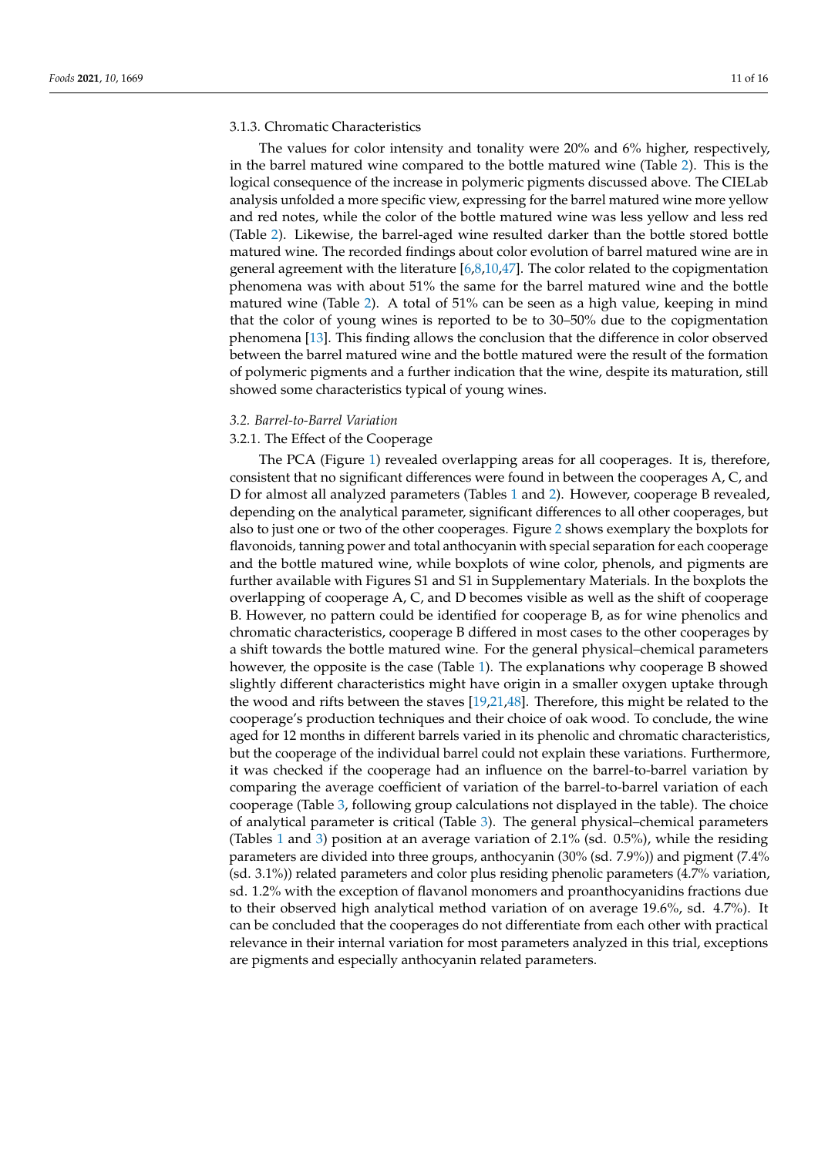## 3.1.3. Chromatic Characteristics

The values for color intensity and tonality were 20% and 6% higher, respectively, in the barrel matured wine compared to the bottle matured wine (Table [2\)](#page-8-0). This is the logical consequence of the increase in polymeric pigments discussed above. The CIELab analysis unfolded a more specific view, expressing for the barrel matured wine more yellow and red notes, while the color of the bottle matured wine was less yellow and less red (Table [2\)](#page-8-0). Likewise, the barrel-aged wine resulted darker than the bottle stored bottle matured wine. The recorded findings about color evolution of barrel matured wine are in general agreement with the literature  $[6,8,10,47]$  $[6,8,10,47]$  $[6,8,10,47]$  $[6,8,10,47]$ . The color related to the copigmentation phenomena was with about 51% the same for the barrel matured wine and the bottle matured wine (Table [2\)](#page-8-0). A total of 51% can be seen as a high value, keeping in mind that the color of young wines is reported to be to 30–50% due to the copigmentation phenomena [\[13\]](#page-14-2). This finding allows the conclusion that the difference in color observed between the barrel matured wine and the bottle matured were the result of the formation of polymeric pigments and a further indication that the wine, despite its maturation, still showed some characteristics typical of young wines.

### *3.2. Barrel-to-Barrel Variation*

# 3.2.1. The Effect of the Cooperage

The PCA (Figure [1\)](#page-5-0) revealed overlapping areas for all cooperages. It is, therefore, consistent that no significant differences were found in between the cooperages A, C, and D for almost all analyzed parameters (Tables [1](#page-6-0) and [2\)](#page-8-0). However, cooperage B revealed, depending on the analytical parameter, significant differences to all other cooperages, but also to just one or two of the other cooperages. Figure [2](#page-11-0) shows exemplary the boxplots for flavonoids, tanning power and total anthocyanin with special separation for each cooperage and the bottle matured wine, while boxplots of wine color, phenols, and pigments are further available with Figures S1 and S1 in Supplementary Materials. In the boxplots the overlapping of cooperage A, C, and D becomes visible as well as the shift of cooperage B. However, no pattern could be identified for cooperage B, as for wine phenolics and chromatic characteristics, cooperage B differed in most cases to the other cooperages by a shift towards the bottle matured wine. For the general physical–chemical parameters however, the opposite is the case (Table [1\)](#page-6-0). The explanations why cooperage B showed slightly different characteristics might have origin in a smaller oxygen uptake through the wood and rifts between the staves [\[19](#page-14-8)[,21](#page-14-10)[,48\]](#page-15-7). Therefore, this might be related to the cooperage's production techniques and their choice of oak wood. To conclude, the wine aged for 12 months in different barrels varied in its phenolic and chromatic characteristics, but the cooperage of the individual barrel could not explain these variations. Furthermore, it was checked if the cooperage had an influence on the barrel-to-barrel variation by comparing the average coefficient of variation of the barrel-to-barrel variation of each cooperage (Table [3,](#page-9-0) following group calculations not displayed in the table). The choice of analytical parameter is critical (Table [3\)](#page-9-0). The general physical–chemical parameters (Tables [1](#page-6-0) and [3\)](#page-9-0) position at an average variation of 2.1% (sd. 0.5%), while the residing parameters are divided into three groups, anthocyanin (30% (sd. 7.9%)) and pigment (7.4% (sd. 3.1%)) related parameters and color plus residing phenolic parameters (4.7% variation, sd. 1.2% with the exception of flavanol monomers and proanthocyanidins fractions due to their observed high analytical method variation of on average 19.6%, sd. 4.7%). It can be concluded that the cooperages do not differentiate from each other with practical relevance in their internal variation for most parameters analyzed in this trial, exceptions are pigments and especially anthocyanin related parameters.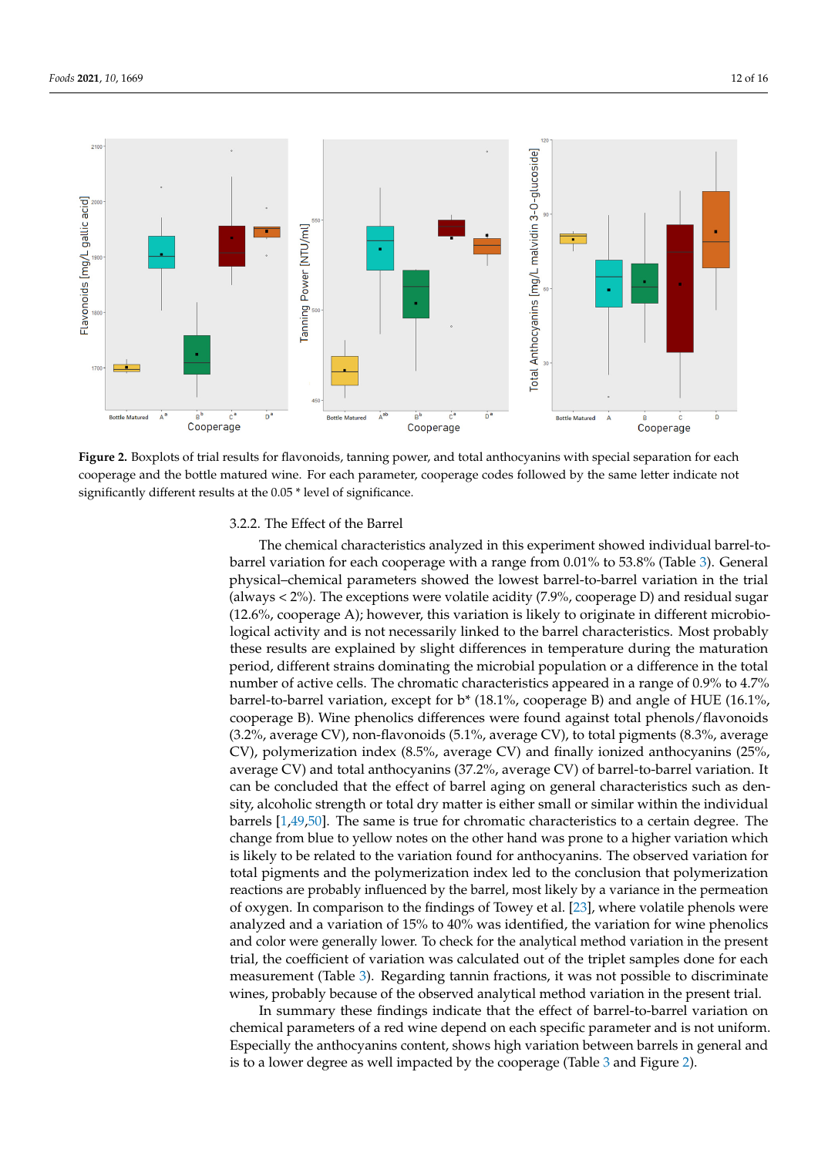<span id="page-11-0"></span>

Figure 2. Boxplots of trial results for flavonoids, tanning power, and total anthocyanins with special separation for each cooperage and the bottle matured wine. For each parameter, cooperage codes followed by the same letter indicate not significantly different results at the 0.05 \* level of significance. significantly different results at the 0.05 \* level of significance.

# 3.2.2. The Effect of the Barrel

3.2.2. The Effect of the Barrel The chemical characteristics analyzed in this experiment showed individual barrel-tobarrel variation for each cooperage with a range from 0.01% to 53.8% (Table 3). General physical–chemical parameters showed the lowest barrel-to-barrel variation in the trial (always < 2%). The exceptions were volatile acidity (7.9%, cooperage D) and residual sugar<br>(4.2.6%). The exceptions were volatile acidity (7.9%, cooperage D) and residual sugar (12.0%, cooperage *1x*), nowever, this variation is likely to originate in americia intervological activity and is not necessarily linked to the barrel characteristics. Most probably these results are explained by slight differences in temperature during the maturation period, different strains dominating the microbial population or a difference in the total number of active cells. The chromatic characteristics appeared in a range of  $0.9\%$  to  $4.7\%$ barrel-to-barrel variation, except for b\* (18.1%, cooperage B) and angle of HUE (16.1%, cooperation or a difference variation of  $(16.1\%)$  $(3.2\%$ , average CV), non-flavonoids  $(5.1\%$ , average CV), to total pigments  $(8.3\%$ , average CV), polymerization index (8.5%, average CV) and finally ionized anthocyanins (25%, average CV) and total anthocyanins (37.2%, average CV) of barrel-to-barrel variation. It can be concluded that the effect of barrel aging on general characteristics such as den-<br>can be concluded that the effect of barrel aging on general characteristics such as den-sity, attorione strength of total dry matter is entitered and for similar whilm the marvidual barrels [\[1](#page-13-0)[,49,](#page-15-8)[50\]](#page-15-9). The same is true for chromatic characteristics to a certain degree. The change from blue to yellow notes on the other hand was prone to a higher variation which is likely to be related to the variation found for anthocyanins. The observed variation for total pigments and the polymerization index led to the conclusion that polymerization reactions are probably influenced by the barrel, most likely by a variance in the permeation<br>of ourser. In comparison to the findings of Toury at al. [22] where valatile phenols were analyzed and a variation of  $15%$  to  $40%$  was identified, the variation for wine phenolics and color were generally lower. To check for the analytical method variation in the present trial, the coefficient of variation was calculated out of the triplet samples done for each measurement (Table [3\)](#page-9-0). Regarding tannin fractions, it was not possible to discriminate (12.6%, cooperage A); however, this variation is likely to originate in different microbiocooperage B). Wine phenolics differences were found against total phenols/flavonoids sity, alcoholic strength or total dry matter is either small or similar within the individual of oxygen. In comparison to the findings of Towey et al. [\[23\]](#page-14-12), where volatile phenols were wines, probably because of the observed analytical method variation in the present trial.

In summary these findings indicate that the effect of barrel-to-barrel variation on chemical parameters of a red wine depend on each specific parameter and is not uniform. Especially the anthocyanins content, shows high variation between barrels in general and is to a lower degree [as](#page-11-0) well impacted by the cooperage (Table 3 and Figure 2).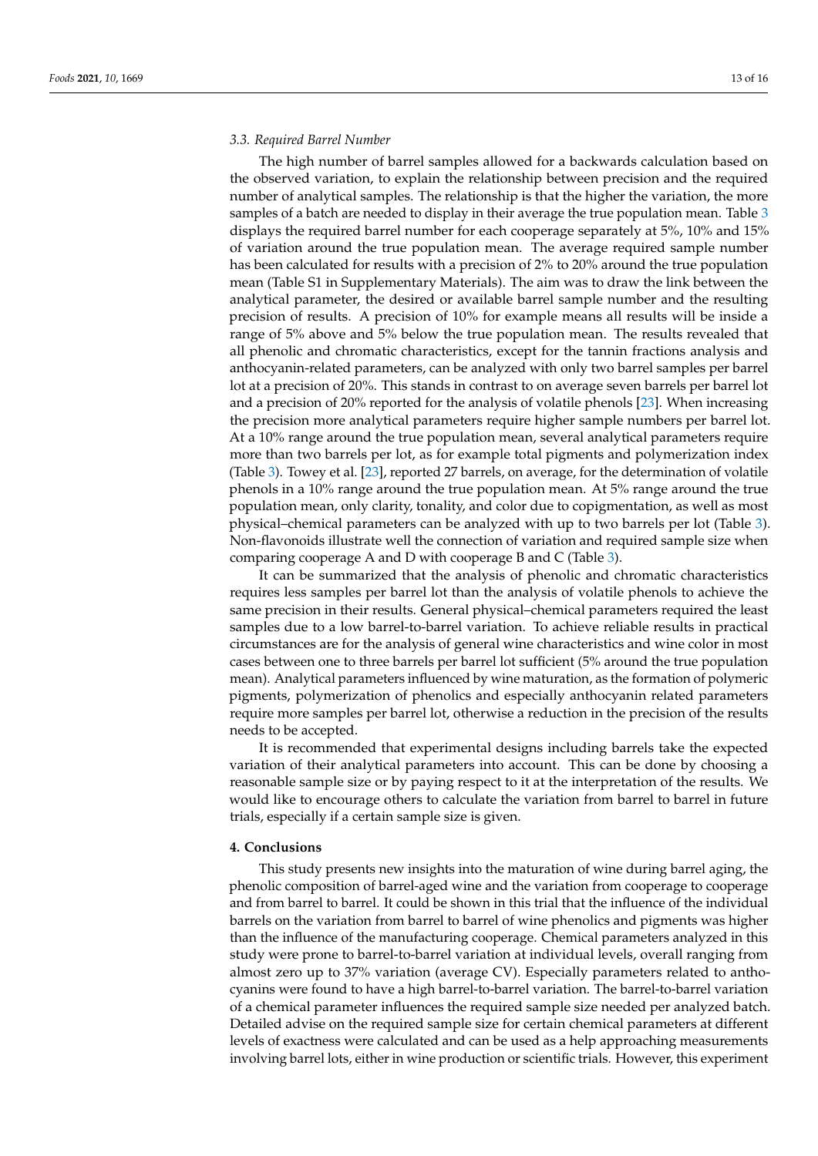# *3.3. Required Barrel Number*

The high number of barrel samples allowed for a backwards calculation based on the observed variation, to explain the relationship between precision and the required number of analytical samples. The relationship is that the higher the variation, the more samples of a batch are needed to display in their average the true population mean. Table [3](#page-9-0) displays the required barrel number for each cooperage separately at 5%, 10% and 15% of variation around the true population mean. The average required sample number has been calculated for results with a precision of 2% to 20% around the true population mean (Table S1 in Supplementary Materials). The aim was to draw the link between the analytical parameter, the desired or available barrel sample number and the resulting precision of results. A precision of 10% for example means all results will be inside a range of 5% above and 5% below the true population mean. The results revealed that all phenolic and chromatic characteristics, except for the tannin fractions analysis and anthocyanin-related parameters, can be analyzed with only two barrel samples per barrel lot at a precision of 20%. This stands in contrast to on average seven barrels per barrel lot and a precision of 20% reported for the analysis of volatile phenols [\[23\]](#page-14-12). When increasing the precision more analytical parameters require higher sample numbers per barrel lot. At a 10% range around the true population mean, several analytical parameters require more than two barrels per lot, as for example total pigments and polymerization index (Table [3\)](#page-9-0). Towey et al. [\[23\]](#page-14-12), reported 27 barrels, on average, for the determination of volatile phenols in a 10% range around the true population mean. At 5% range around the true population mean, only clarity, tonality, and color due to copigmentation, as well as most physical–chemical parameters can be analyzed with up to two barrels per lot (Table [3\)](#page-9-0). Non-flavonoids illustrate well the connection of variation and required sample size when comparing cooperage A and D with cooperage B and C (Table [3\)](#page-9-0).

It can be summarized that the analysis of phenolic and chromatic characteristics requires less samples per barrel lot than the analysis of volatile phenols to achieve the same precision in their results. General physical–chemical parameters required the least samples due to a low barrel-to-barrel variation. To achieve reliable results in practical circumstances are for the analysis of general wine characteristics and wine color in most cases between one to three barrels per barrel lot sufficient (5% around the true population mean). Analytical parameters influenced by wine maturation, as the formation of polymeric pigments, polymerization of phenolics and especially anthocyanin related parameters require more samples per barrel lot, otherwise a reduction in the precision of the results needs to be accepted.

It is recommended that experimental designs including barrels take the expected variation of their analytical parameters into account. This can be done by choosing a reasonable sample size or by paying respect to it at the interpretation of the results. We would like to encourage others to calculate the variation from barrel to barrel in future trials, especially if a certain sample size is given.

# **4. Conclusions**

This study presents new insights into the maturation of wine during barrel aging, the phenolic composition of barrel-aged wine and the variation from cooperage to cooperage and from barrel to barrel. It could be shown in this trial that the influence of the individual barrels on the variation from barrel to barrel of wine phenolics and pigments was higher than the influence of the manufacturing cooperage. Chemical parameters analyzed in this study were prone to barrel-to-barrel variation at individual levels, overall ranging from almost zero up to 37% variation (average CV). Especially parameters related to anthocyanins were found to have a high barrel-to-barrel variation. The barrel-to-barrel variation of a chemical parameter influences the required sample size needed per analyzed batch. Detailed advise on the required sample size for certain chemical parameters at different levels of exactness were calculated and can be used as a help approaching measurements involving barrel lots, either in wine production or scientific trials. However, this experiment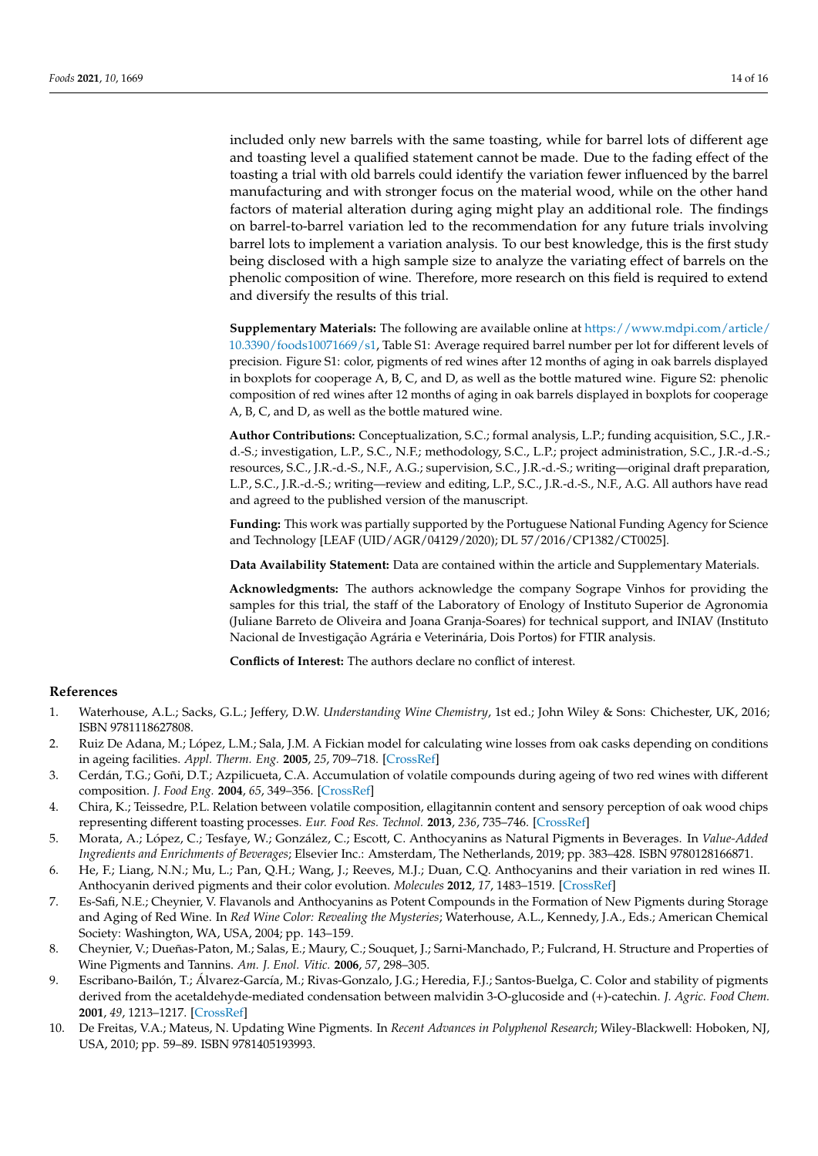included only new barrels with the same toasting, while for barrel lots of different age and toasting level a qualified statement cannot be made. Due to the fading effect of the toasting a trial with old barrels could identify the variation fewer influenced by the barrel manufacturing and with stronger focus on the material wood, while on the other hand factors of material alteration during aging might play an additional role. The findings on barrel-to-barrel variation led to the recommendation for any future trials involving barrel lots to implement a variation analysis. To our best knowledge, this is the first study being disclosed with a high sample size to analyze the variating effect of barrels on the phenolic composition of wine. Therefore, more research on this field is required to extend and diversify the results of this trial.

**Supplementary Materials:** The following are available online at [https://www.mdpi.com/article/](https://www.mdpi.com/article/10.3390/foods10071669/s1) [10.3390/foods10071669/s1,](https://www.mdpi.com/article/10.3390/foods10071669/s1) Table S1: Average required barrel number per lot for different levels of precision. Figure S1: color, pigments of red wines after 12 months of aging in oak barrels displayed in boxplots for cooperage A, B, C, and D, as well as the bottle matured wine. Figure S2: phenolic composition of red wines after 12 months of aging in oak barrels displayed in boxplots for cooperage A, B, C, and D, as well as the bottle matured wine.

**Author Contributions:** Conceptualization, S.C.; formal analysis, L.P.; funding acquisition, S.C., J.R. d.-S.; investigation, L.P., S.C., N.F.; methodology, S.C., L.P.; project administration, S.C., J.R.-d.-S.; resources, S.C., J.R.-d.-S., N.F., A.G.; supervision, S.C., J.R.-d.-S.; writing—original draft preparation, L.P., S.C., J.R.-d.-S.; writing—review and editing, L.P., S.C., J.R.-d.-S., N.F., A.G. All authors have read and agreed to the published version of the manuscript.

**Funding:** This work was partially supported by the Portuguese National Funding Agency for Science and Technology [LEAF (UID/AGR/04129/2020); DL 57/2016/CP1382/CT0025].

**Data Availability Statement:** Data are contained within the article and Supplementary Materials.

**Acknowledgments:** The authors acknowledge the company Sogrape Vinhos for providing the samples for this trial, the staff of the Laboratory of Enology of Instituto Superior de Agronomia (Juliane Barreto de Oliveira and Joana Granja-Soares) for technical support, and INIAV (Instituto Nacional de Investigação Agrária e Veterinária, Dois Portos) for FTIR analysis.

**Conflicts of Interest:** The authors declare no conflict of interest.

#### **References**

- <span id="page-13-0"></span>1. Waterhouse, A.L.; Sacks, G.L.; Jeffery, D.W. *Understanding Wine Chemistry*, 1st ed.; John Wiley & Sons: Chichester, UK, 2016; ISBN 9781118627808.
- <span id="page-13-1"></span>2. Ruiz De Adana, M.; López, L.M.; Sala, J.M. A Fickian model for calculating wine losses from oak casks depending on conditions in ageing facilities. *Appl. Therm. Eng.* **2005**, *25*, 709–718. [\[CrossRef\]](http://doi.org/10.1016/j.applthermaleng.2004.07.021)
- <span id="page-13-2"></span>3. Cerdán, T.G.; Goñi, D.T.; Azpilicueta, C.A. Accumulation of volatile compounds during ageing of two red wines with different composition. *J. Food Eng.* **2004**, *65*, 349–356. [\[CrossRef\]](http://doi.org/10.1016/j.jfoodeng.2004.01.032)
- <span id="page-13-3"></span>4. Chira, K.; Teissedre, P.L. Relation between volatile composition, ellagitannin content and sensory perception of oak wood chips representing different toasting processes. *Eur. Food Res. Technol.* **2013**, *236*, 735–746. [\[CrossRef\]](http://doi.org/10.1007/s00217-013-1930-0)
- <span id="page-13-4"></span>5. Morata, A.; López, C.; Tesfaye, W.; González, C.; Escott, C. Anthocyanins as Natural Pigments in Beverages. In *Value-Added Ingredients and Enrichments of Beverages*; Elsevier Inc.: Amsterdam, The Netherlands, 2019; pp. 383–428. ISBN 9780128166871.
- <span id="page-13-5"></span>6. He, F.; Liang, N.N.; Mu, L.; Pan, Q.H.; Wang, J.; Reeves, M.J.; Duan, C.Q. Anthocyanins and their variation in red wines II. Anthocyanin derived pigments and their color evolution. *Molecules* **2012**, *17*, 1483–1519. [\[CrossRef\]](http://doi.org/10.3390/molecules17021483)
- <span id="page-13-6"></span>7. Es-Safi, N.E.; Cheynier, V. Flavanols and Anthocyanins as Potent Compounds in the Formation of New Pigments during Storage and Aging of Red Wine. In *Red Wine Color: Revealing the Mysteries*; Waterhouse, A.L., Kennedy, J.A., Eds.; American Chemical Society: Washington, WA, USA, 2004; pp. 143–159.
- <span id="page-13-7"></span>8. Cheynier, V.; Dueñas-Paton, M.; Salas, E.; Maury, C.; Souquet, J.; Sarni-Manchado, P.; Fulcrand, H. Structure and Properties of Wine Pigments and Tannins. *Am. J. Enol. Vitic.* **2006**, *57*, 298–305.
- <span id="page-13-8"></span>9. Escribano-Bailón, T.; Álvarez-García, M.; Rivas-Gonzalo, J.G.; Heredia, F.J.; Santos-Buelga, C. Color and stability of pigments derived from the acetaldehyde-mediated condensation between malvidin 3-O-glucoside and (+)-catechin. *J. Agric. Food Chem.* **2001**, *49*, 1213–1217. [\[CrossRef\]](http://doi.org/10.1021/jf001081l)
- <span id="page-13-9"></span>10. De Freitas, V.A.; Mateus, N. Updating Wine Pigments. In *Recent Advances in Polyphenol Research*; Wiley-Blackwell: Hoboken, NJ, USA, 2010; pp. 59–89. ISBN 9781405193993.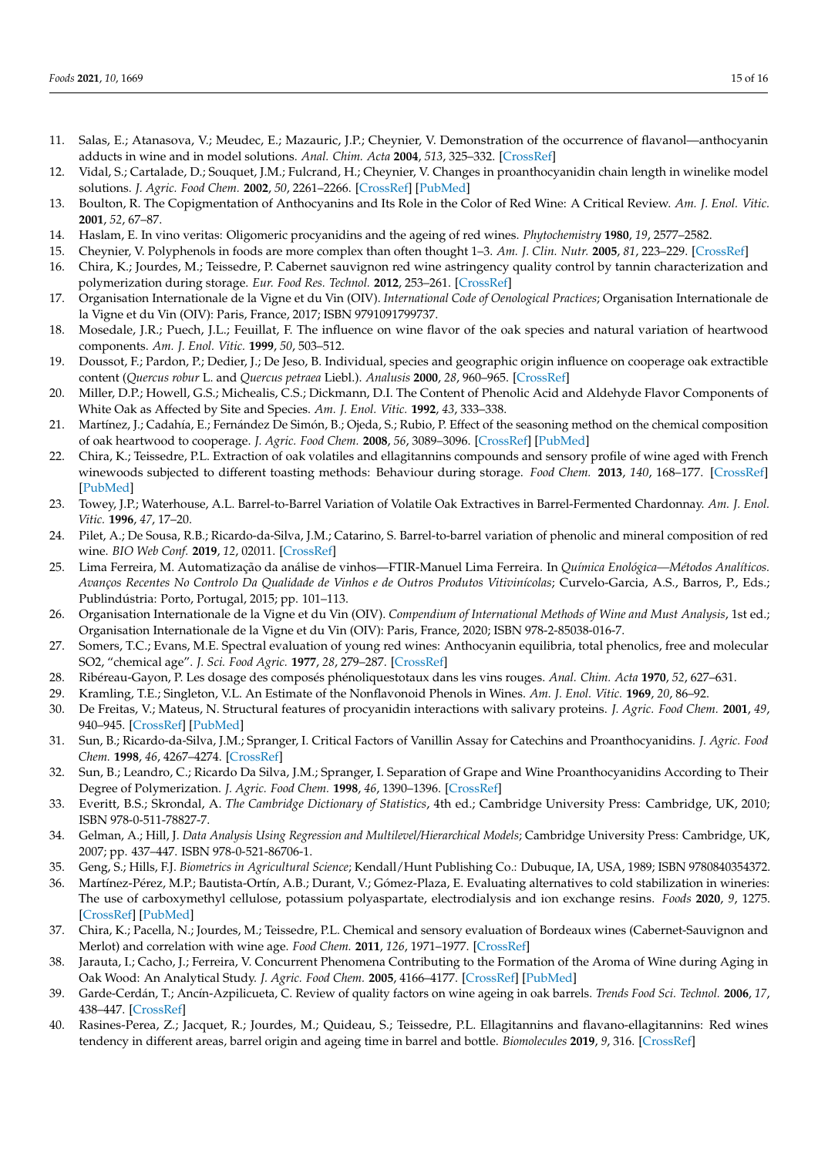- <span id="page-14-0"></span>11. Salas, E.; Atanasova, V.; Meudec, E.; Mazauric, J.P.; Cheynier, V. Demonstration of the occurrence of flavanol—anthocyanin adducts in wine and in model solutions. *Anal. Chim. Acta* **2004**, *513*, 325–332. [\[CrossRef\]](http://doi.org/10.1016/j.aca.2003.11.084)
- <span id="page-14-1"></span>12. Vidal, S.; Cartalade, D.; Souquet, J.M.; Fulcrand, H.; Cheynier, V. Changes in proanthocyanidin chain length in winelike model solutions. *J. Agric. Food Chem.* **2002**, *50*, 2261–2266. [\[CrossRef\]](http://doi.org/10.1021/jf011180e) [\[PubMed\]](http://www.ncbi.nlm.nih.gov/pubmed/11929281)
- <span id="page-14-2"></span>13. Boulton, R. The Copigmentation of Anthocyanins and Its Role in the Color of Red Wine: A Critical Review. *Am. J. Enol. Vitic.* **2001**, *52*, 67–87.
- <span id="page-14-3"></span>14. Haslam, E. In vino veritas: Oligomeric procyanidins and the ageing of red wines. *Phytochemistry* **1980**, *19*, 2577–2582.
- <span id="page-14-4"></span>15. Cheynier, V. Polyphenols in foods are more complex than often thought 1–3. *Am. J. Clin. Nutr.* **2005**, *81*, 223–229. [\[CrossRef\]](http://doi.org/10.1093/ajcn/81.1.223S)
- <span id="page-14-5"></span>16. Chira, K.; Jourdes, M.; Teissedre, P. Cabernet sauvignon red wine astringency quality control by tannin characterization and polymerization during storage. *Eur. Food Res. Technol.* **2012**, 253–261. [\[CrossRef\]](http://doi.org/10.1007/s00217-011-1627-1)
- <span id="page-14-6"></span>17. Organisation Internationale de la Vigne et du Vin (OIV). *International Code of Oenological Practices*; Organisation Internationale de la Vigne et du Vin (OIV): Paris, France, 2017; ISBN 9791091799737.
- <span id="page-14-7"></span>18. Mosedale, J.R.; Puech, J.L.; Feuillat, F. The influence on wine flavor of the oak species and natural variation of heartwood components. *Am. J. Enol. Vitic.* **1999**, *50*, 503–512.
- <span id="page-14-8"></span>19. Doussot, F.; Pardon, P.; Dedier, J.; De Jeso, B. Individual, species and geographic origin influence on cooperage oak extractible content (*Quercus robur* L. and *Quercus petraea* Liebl.). *Analusis* **2000**, *28*, 960–965. [\[CrossRef\]](http://doi.org/10.1051/analusis:2000162)
- <span id="page-14-9"></span>20. Miller, D.P.; Howell, G.S.; Michealis, C.S.; Dickmann, D.I. The Content of Phenolic Acid and Aldehyde Flavor Components of White Oak as Affected by Site and Species. *Am. J. Enol. Vitic.* **1992**, *43*, 333–338.
- <span id="page-14-10"></span>21. Martínez, J.; Cadahía, E.; Fernández De Simón, B.; Ojeda, S.; Rubio, P. Effect of the seasoning method on the chemical composition of oak heartwood to cooperage. *J. Agric. Food Chem.* **2008**, *56*, 3089–3096. [\[CrossRef\]](http://doi.org/10.1021/jf0728698) [\[PubMed\]](http://www.ncbi.nlm.nih.gov/pubmed/18393428)
- <span id="page-14-11"></span>22. Chira, K.; Teissedre, P.L. Extraction of oak volatiles and ellagitannins compounds and sensory profile of wine aged with French winewoods subjected to different toasting methods: Behaviour during storage. *Food Chem.* **2013**, *140*, 168–177. [\[CrossRef\]](http://doi.org/10.1016/j.foodchem.2013.02.049) [\[PubMed\]](http://www.ncbi.nlm.nih.gov/pubmed/23578629)
- <span id="page-14-12"></span>23. Towey, J.P.; Waterhouse, A.L. Barrel-to-Barrel Variation of Volatile Oak Extractives in Barrel-Fermented Chardonnay. *Am. J. Enol. Vitic.* **1996**, *47*, 17–20.
- <span id="page-14-13"></span>24. Pilet, A.; De Sousa, R.B.; Ricardo-da-Silva, J.M.; Catarino, S. Barrel-to-barrel variation of phenolic and mineral composition of red wine. *BIO Web Conf.* **2019**, *12*, 02011. [\[CrossRef\]](http://doi.org/10.1051/bioconf/20191202011)
- <span id="page-14-14"></span>25. Lima Ferreira, M. Automatização da análise de vinhos—FTIR-Manuel Lima Ferreira. In *Química Enológica—Métodos Analíticos. Avanços Recentes No Controlo Da Qualidade de Vinhos e de Outros Produtos Vitivinícolas*; Curvelo-Garcia, A.S., Barros, P., Eds.; Publindústria: Porto, Portugal, 2015; pp. 101–113.
- <span id="page-14-15"></span>26. Organisation Internationale de la Vigne et du Vin (OIV). *Compendium of International Methods of Wine and Must Analysis*, 1st ed.; Organisation Internationale de la Vigne et du Vin (OIV): Paris, France, 2020; ISBN 978-2-85038-016-7.
- <span id="page-14-16"></span>27. Somers, T.C.; Evans, M.E. Spectral evaluation of young red wines: Anthocyanin equilibria, total phenolics, free and molecular SO2, "chemical age". *J. Sci. Food Agric.* **1977**, *28*, 279–287. [\[CrossRef\]](http://doi.org/10.1002/jsfa.2740280311)
- <span id="page-14-17"></span>28. Ribéreau-Gayon, P. Les dosage des composés phénoliquestotaux dans les vins rouges. *Anal. Chim. Acta* **1970**, *52*, 627–631.
- <span id="page-14-18"></span>29. Kramling, T.E.; Singleton, V.L. An Estimate of the Nonflavonoid Phenols in Wines. *Am. J. Enol. Vitic.* **1969**, *20*, 86–92.
- <span id="page-14-19"></span>30. De Freitas, V.; Mateus, N. Structural features of procyanidin interactions with salivary proteins. *J. Agric. Food Chem.* **2001**, *49*, 940–945. [\[CrossRef\]](http://doi.org/10.1021/jf000981z) [\[PubMed\]](http://www.ncbi.nlm.nih.gov/pubmed/11262053)
- <span id="page-14-20"></span>31. Sun, B.; Ricardo-da-Silva, J.M.; Spranger, I. Critical Factors of Vanillin Assay for Catechins and Proanthocyanidins. *J. Agric. Food Chem.* **1998**, *46*, 4267–4274. [\[CrossRef\]](http://doi.org/10.1021/jf980366j)
- <span id="page-14-21"></span>32. Sun, B.; Leandro, C.; Ricardo Da Silva, J.M.; Spranger, I. Separation of Grape and Wine Proanthocyanidins According to Their Degree of Polymerization. *J. Agric. Food Chem.* **1998**, *46*, 1390–1396. [\[CrossRef\]](http://doi.org/10.1021/jf970753d)
- <span id="page-14-22"></span>33. Everitt, B.S.; Skrondal, A. *The Cambridge Dictionary of Statistics*, 4th ed.; Cambridge University Press: Cambridge, UK, 2010; ISBN 978-0-511-78827-7.
- <span id="page-14-23"></span>34. Gelman, A.; Hill, J. *Data Analysis Using Regression and Multilevel/Hierarchical Models*; Cambridge University Press: Cambridge, UK, 2007; pp. 437–447. ISBN 978-0-521-86706-1.
- <span id="page-14-24"></span>35. Geng, S.; Hills, F.J. *Biometrics in Agricultural Science*; Kendall/Hunt Publishing Co.: Dubuque, IA, USA, 1989; ISBN 9780840354372.
- <span id="page-14-25"></span>36. Martínez-Pérez, M.P.; Bautista-Ortín, A.B.; Durant, V.; Gómez-Plaza, E. Evaluating alternatives to cold stabilization in wineries: The use of carboxymethyl cellulose, potassium polyaspartate, electrodialysis and ion exchange resins. *Foods* **2020**, *9*, 1275. [\[CrossRef\]](http://doi.org/10.3390/foods9091275) [\[PubMed\]](http://www.ncbi.nlm.nih.gov/pubmed/32932844)
- <span id="page-14-26"></span>37. Chira, K.; Pacella, N.; Jourdes, M.; Teissedre, P.L. Chemical and sensory evaluation of Bordeaux wines (Cabernet-Sauvignon and Merlot) and correlation with wine age. *Food Chem.* **2011**, *126*, 1971–1977. [\[CrossRef\]](http://doi.org/10.1016/j.foodchem.2010.12.056)
- <span id="page-14-27"></span>38. Jarauta, I.; Cacho, J.; Ferreira, V. Concurrent Phenomena Contributing to the Formation of the Aroma of Wine during Aging in Oak Wood: An Analytical Study. *J. Agric. Food Chem.* **2005**, 4166–4177. [\[CrossRef\]](http://doi.org/10.1021/jf0481960) [\[PubMed\]](http://www.ncbi.nlm.nih.gov/pubmed/15884855)
- <span id="page-14-28"></span>39. Garde-Cerdán, T.; Ancín-Azpilicueta, C. Review of quality factors on wine ageing in oak barrels. *Trends Food Sci. Technol.* **2006**, *17*, 438–447. [\[CrossRef\]](http://doi.org/10.1016/j.tifs.2006.01.008)
- <span id="page-14-29"></span>40. Rasines-Perea, Z.; Jacquet, R.; Jourdes, M.; Quideau, S.; Teissedre, P.L. Ellagitannins and flavano-ellagitannins: Red wines tendency in different areas, barrel origin and ageing time in barrel and bottle. *Biomolecules* **2019**, *9*, 316. [\[CrossRef\]](http://doi.org/10.3390/biom9080316)